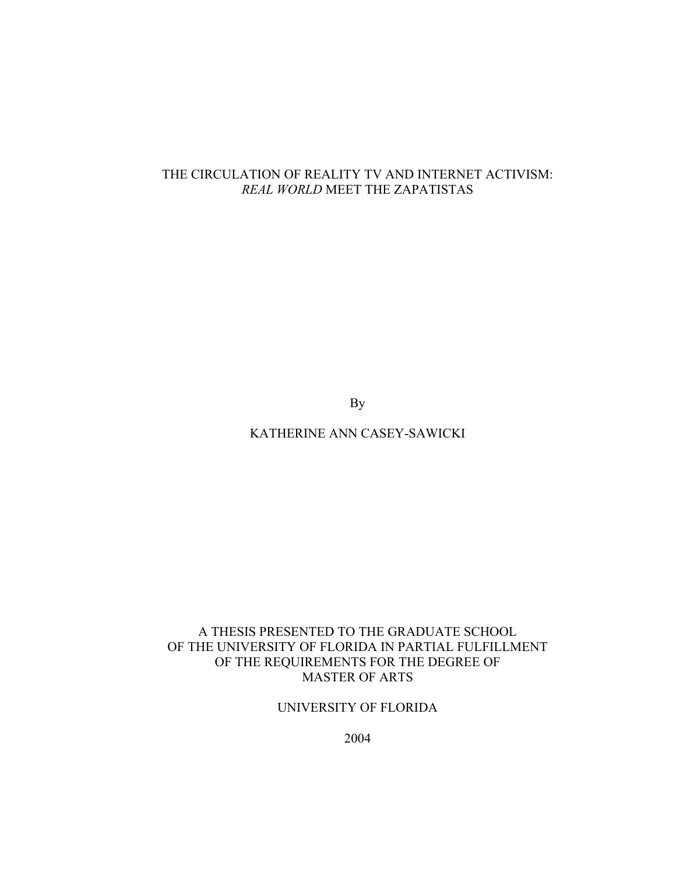# THE CIRCULATION OF REALITY TV AND INTERNET ACTIVISM: *REAL WORLD* MEET THE ZAPATISTAS

By

KATHERINE ANN CASEY-SAWICKI

# A THESIS PRESENTED TO THE GRADUATE SCHOOL OF THE UNIVERSITY OF FLORIDA IN PARTIAL FULFILLMENT OF THE REQUIREMENTS FOR THE DEGREE OF MASTER OF ARTS

UNIVERSITY OF FLORIDA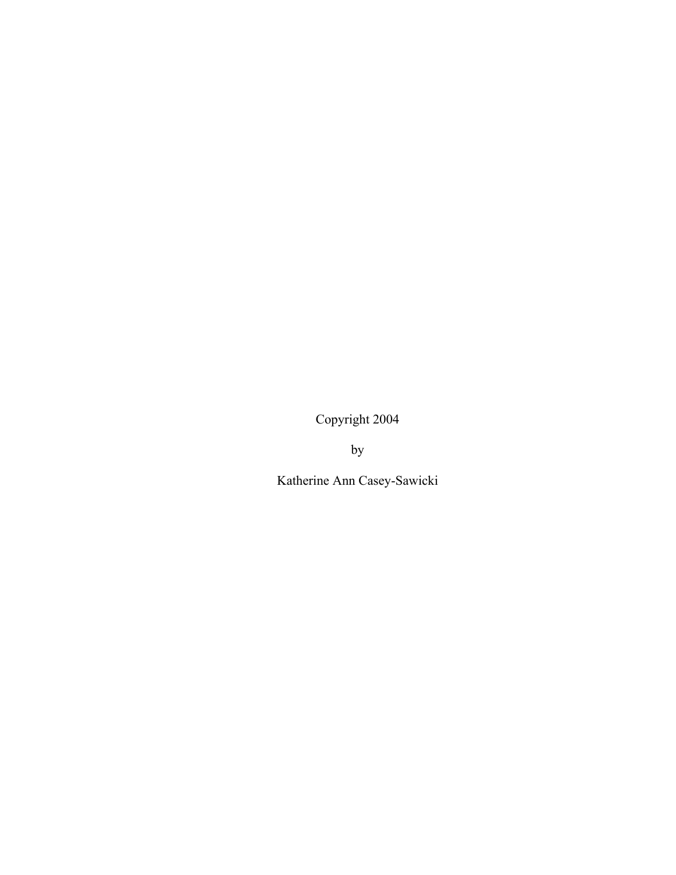Copyright 2004

by

Katherine Ann Casey-Sawicki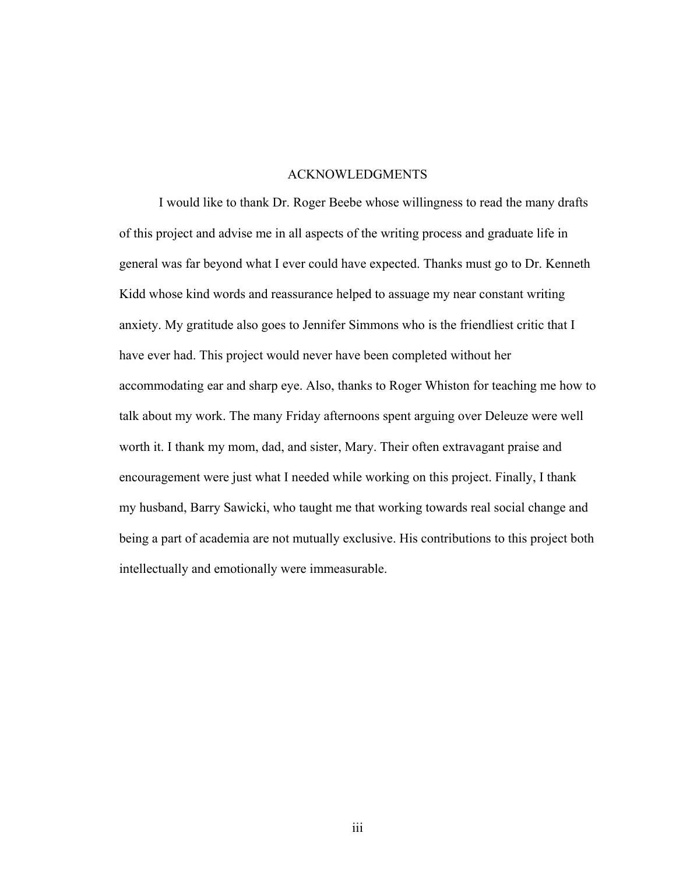#### ACKNOWLEDGMENTS

<span id="page-2-0"></span>I would like to thank Dr. Roger Beebe whose willingness to read the many drafts of this project and advise me in all aspects of the writing process and graduate life in general was far beyond what I ever could have expected. Thanks must go to Dr. Kenneth Kidd whose kind words and reassurance helped to assuage my near constant writing anxiety. My gratitude also goes to Jennifer Simmons who is the friendliest critic that I have ever had. This project would never have been completed without her accommodating ear and sharp eye. Also, thanks to Roger Whiston for teaching me how to talk about my work. The many Friday afternoons spent arguing over Deleuze were well worth it. I thank my mom, dad, and sister, Mary. Their often extravagant praise and encouragement were just what I needed while working on this project. Finally, I thank my husband, Barry Sawicki, who taught me that working towards real social change and being a part of academia are not mutually exclusive. His contributions to this project both intellectually and emotionally were immeasurable.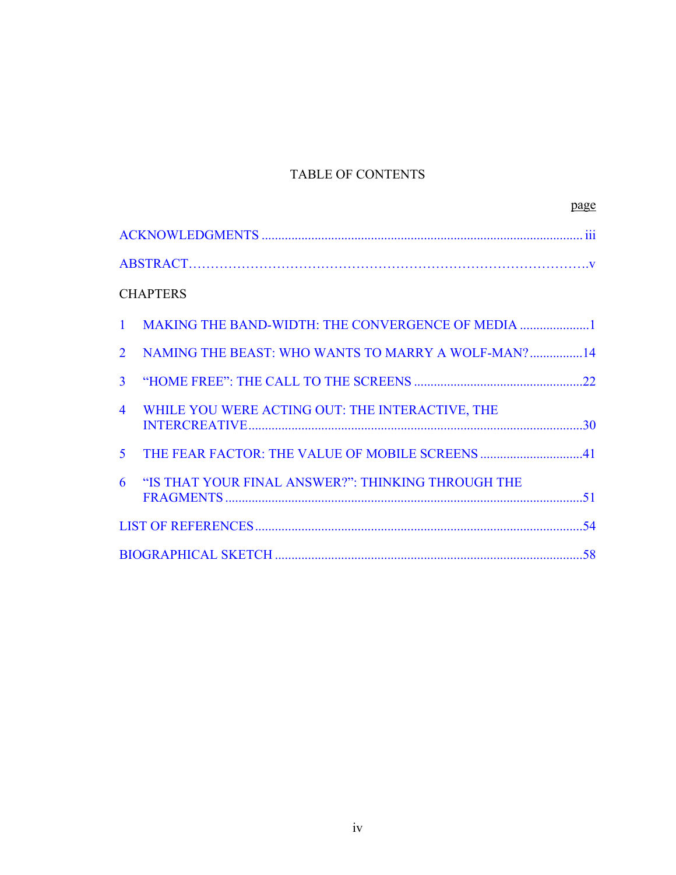# TABLE OF CONTENTS

|                |                                                    | page |  |
|----------------|----------------------------------------------------|------|--|
|                |                                                    |      |  |
|                |                                                    |      |  |
|                | <b>CHAPTERS</b>                                    |      |  |
| $\mathbf{1}$   | MAKING THE BAND-WIDTH: THE CONVERGENCE OF MEDIA 1  |      |  |
| $\overline{2}$ | NAMING THE BEAST: WHO WANTS TO MARRY A WOLF-MAN?14 |      |  |
| 3 <sup>1</sup> |                                                    |      |  |
| $\overline{4}$ | WHILE YOU WERE ACTING OUT: THE INTERACTIVE, THE    |      |  |
| 5 <sup>1</sup> | THE FEAR FACTOR: THE VALUE OF MOBILE SCREENS 41    |      |  |
| 6              | "IS THAT YOUR FINAL ANSWER?": THINKING THROUGH THE |      |  |
|                |                                                    |      |  |
|                |                                                    |      |  |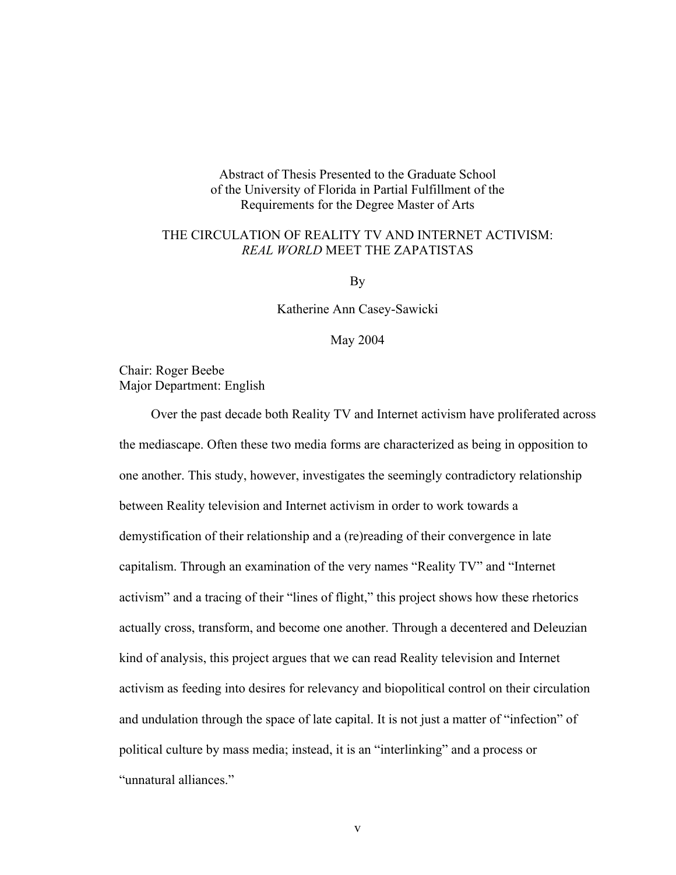Abstract of Thesis Presented to the Graduate School of the University of Florida in Partial Fulfillment of the Requirements for the Degree Master of Arts

## THE CIRCULATION OF REALITY TV AND INTERNET ACTIVISM: *REAL WORLD* MEET THE ZAPATISTAS

By

Katherine Ann Casey-Sawicki

#### May 2004

Chair: Roger Beebe Major Department: English

Over the past decade both Reality TV and Internet activism have proliferated across the mediascape. Often these two media forms are characterized as being in opposition to one another. This study, however, investigates the seemingly contradictory relationship between Reality television and Internet activism in order to work towards a demystification of their relationship and a (re)reading of their convergence in late capitalism. Through an examination of the very names "Reality TV" and "Internet activism" and a tracing of their "lines of flight," this project shows how these rhetorics actually cross, transform, and become one another. Through a decentered and Deleuzian kind of analysis, this project argues that we can read Reality television and Internet activism as feeding into desires for relevancy and biopolitical control on their circulation and undulation through the space of late capital. It is not just a matter of "infection" of political culture by mass media; instead, it is an "interlinking" and a process or "unnatural alliances."

v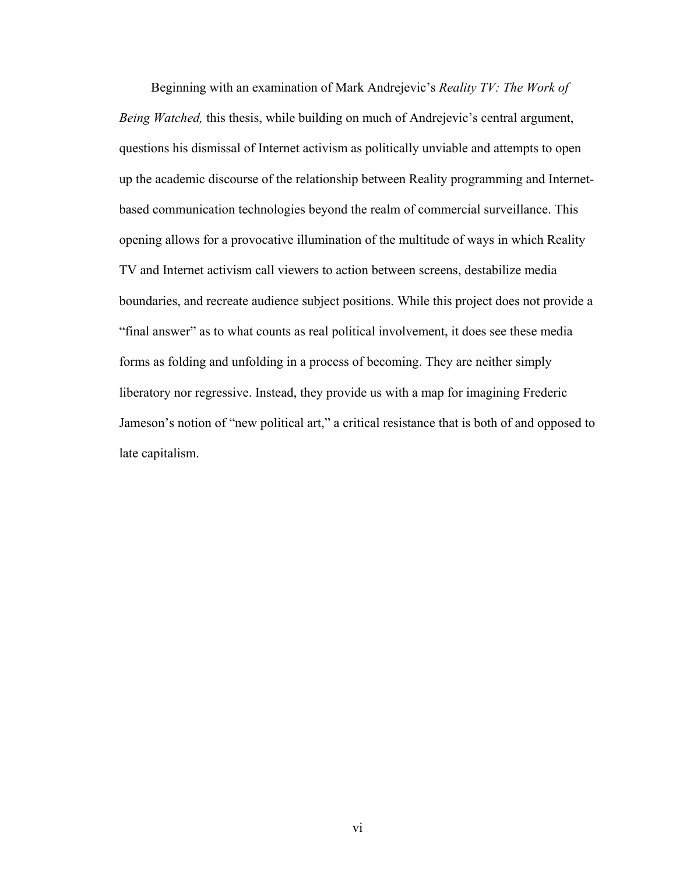Beginning with an examination of Mark Andrejevic's *Reality TV: The Work of Being Watched,* this thesis, while building on much of Andrejevic's central argument, questions his dismissal of Internet activism as politically unviable and attempts to open up the academic discourse of the relationship between Reality programming and Internetbased communication technologies beyond the realm of commercial surveillance. This opening allows for a provocative illumination of the multitude of ways in which Reality TV and Internet activism call viewers to action between screens, destabilize media boundaries, and recreate audience subject positions. While this project does not provide a "final answer" as to what counts as real political involvement, it does see these media forms as folding and unfolding in a process of becoming. They are neither simply liberatory nor regressive. Instead, they provide us with a map for imagining Frederic Jameson's notion of "new political art," a critical resistance that is both of and opposed to late capitalism.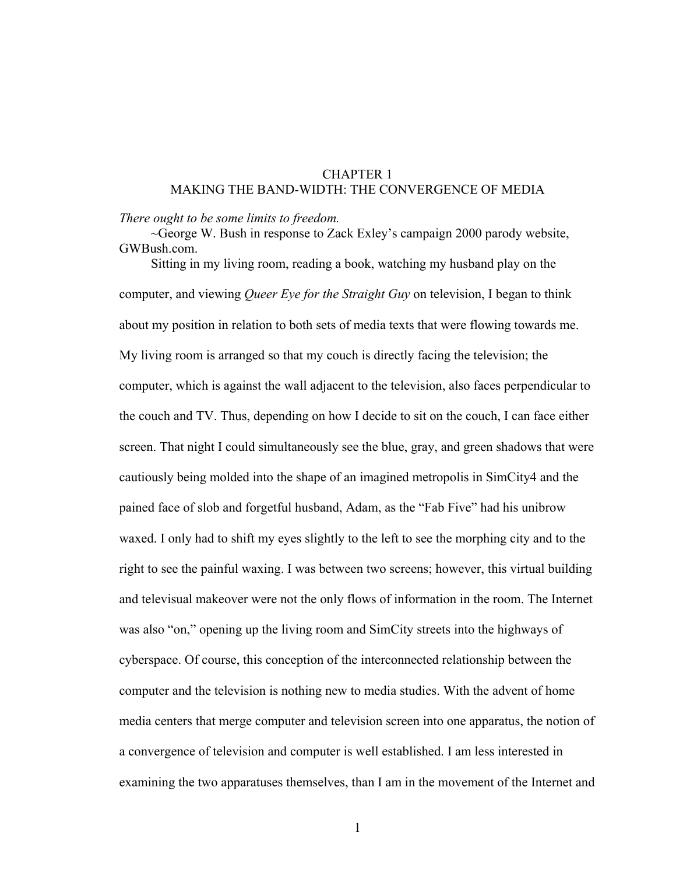#### <span id="page-6-0"></span>CHAPTER 1 MAKING THE BAND-WIDTH: THE CONVERGENCE OF MEDIA

*There ought to be some limits to freedom.* 

~George W. Bush in response to Zack Exley's campaign 2000 parody website, GWBush.com.

Sitting in my living room, reading a book, watching my husband play on the computer, and viewing *Queer Eye for the Straight Guy* on television, I began to think about my position in relation to both sets of media texts that were flowing towards me. My living room is arranged so that my couch is directly facing the television; the computer, which is against the wall adjacent to the television, also faces perpendicular to the couch and TV. Thus, depending on how I decide to sit on the couch, I can face either screen. That night I could simultaneously see the blue, gray, and green shadows that were cautiously being molded into the shape of an imagined metropolis in SimCity4 and the pained face of slob and forgetful husband, Adam, as the "Fab Five" had his unibrow waxed. I only had to shift my eyes slightly to the left to see the morphing city and to the right to see the painful waxing. I was between two screens; however, this virtual building and televisual makeover were not the only flows of information in the room. The Internet was also "on," opening up the living room and SimCity streets into the highways of cyberspace. Of course, this conception of the interconnected relationship between the computer and the television is nothing new to media studies. With the advent of home media centers that merge computer and television screen into one apparatus, the notion of a convergence of television and computer is well established. I am less interested in examining the two apparatuses themselves, than I am in the movement of the Internet and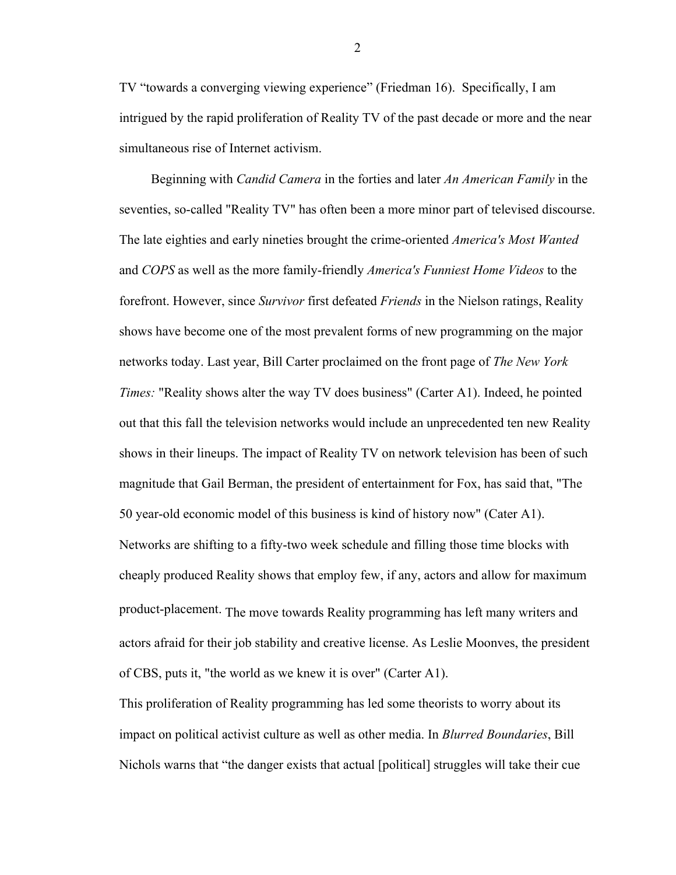TV "towards a converging viewing experience" (Friedman 16). Specifically, I am intrigued by the rapid proliferation of Reality TV of the past decade or more and the near simultaneous rise of Internet activism.

Beginning with *Candid Camera* in the forties and later *An American Family* in the seventies, so-called "Reality TV" has often been a more minor part of televised discourse. The late eighties and early nineties brought the crime-oriented *America's Most Wanted* and *COPS* as well as the more family-friendly *America's Funniest Home Videos* to the forefront. However, since *Survivor* first defeated *Friends* in the Nielson ratings, Reality shows have become one of the most prevalent forms of new programming on the major networks today. Last year, Bill Carter proclaimed on the front page of *The New York Times:* "Reality shows alter the way TV does business" (Carter A1). Indeed, he pointed out that this fall the television networks would include an unprecedented ten new Reality shows in their lineups. The impact of Reality TV on network television has been of such magnitude that Gail Berman, the president of entertainment for Fox, has said that, "The 50 year-old economic model of this business is kind of history now" (Cater A1). Networks are shifting to a fifty-two week schedule and filling those time blocks with cheaply produced Reality shows that employ few, if any, actors and allow for maximum product-placement. The move towards Reality programming has left many writers and actors afraid for their job stability and creative license. As Leslie Moonves, the president of CBS, puts it, "the world as we knew it is over" (Carter A1).

This proliferation of Reality programming has led some theorists to worry about its impact on political activist culture as well as other media. In *Blurred Boundaries*, Bill Nichols warns that "the danger exists that actual [political] struggles will take their cue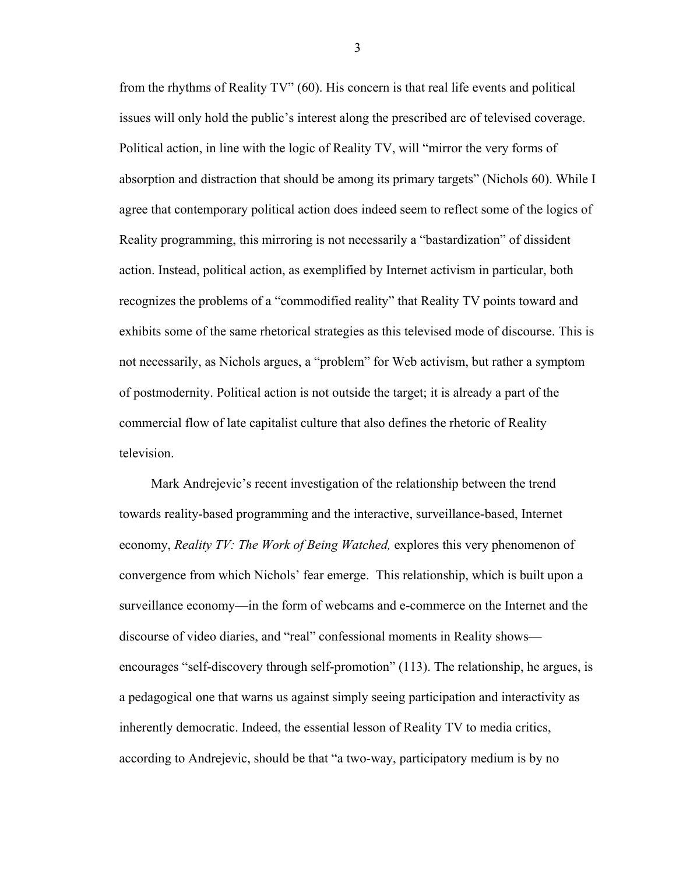from the rhythms of Reality TV" (60). His concern is that real life events and political issues will only hold the public's interest along the prescribed arc of televised coverage. Political action, in line with the logic of Reality TV, will "mirror the very forms of absorption and distraction that should be among its primary targets" (Nichols 60). While I agree that contemporary political action does indeed seem to reflect some of the logics of Reality programming, this mirroring is not necessarily a "bastardization" of dissident action. Instead, political action, as exemplified by Internet activism in particular, both recognizes the problems of a "commodified reality" that Reality TV points toward and exhibits some of the same rhetorical strategies as this televised mode of discourse. This is not necessarily, as Nichols argues, a "problem" for Web activism, but rather a symptom of postmodernity. Political action is not outside the target; it is already a part of the commercial flow of late capitalist culture that also defines the rhetoric of Reality television.

Mark Andrejevic's recent investigation of the relationship between the trend towards reality-based programming and the interactive, surveillance-based, Internet economy, *Reality TV: The Work of Being Watched,* explores this very phenomenon of convergence from which Nichols' fear emerge. This relationship, which is built upon a surveillance economy—in the form of webcams and e-commerce on the Internet and the discourse of video diaries, and "real" confessional moments in Reality shows encourages "self-discovery through self-promotion" (113). The relationship, he argues, is a pedagogical one that warns us against simply seeing participation and interactivity as inherently democratic. Indeed, the essential lesson of Reality TV to media critics, according to Andrejevic, should be that "a two-way, participatory medium is by no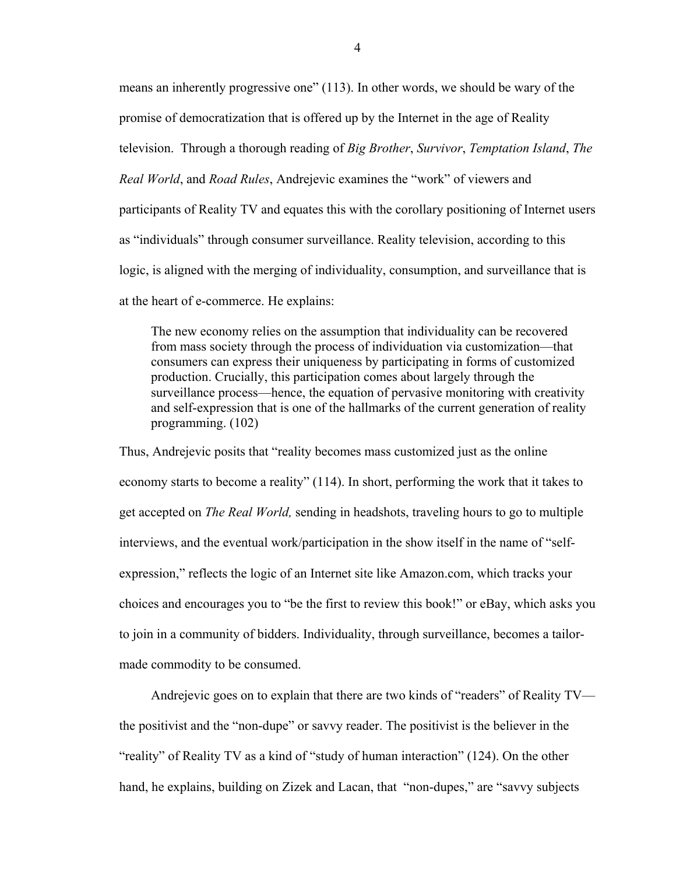means an inherently progressive one" (113). In other words, we should be wary of the promise of democratization that is offered up by the Internet in the age of Reality television. Through a thorough reading of *Big Brother*, *Survivor*, *Temptation Island*, *The Real World*, and *Road Rules*, Andrejevic examines the "work" of viewers and participants of Reality TV and equates this with the corollary positioning of Internet users as "individuals" through consumer surveillance. Reality television, according to this logic, is aligned with the merging of individuality, consumption, and surveillance that is at the heart of e-commerce. He explains:

The new economy relies on the assumption that individuality can be recovered from mass society through the process of individuation via customization—that consumers can express their uniqueness by participating in forms of customized production. Crucially, this participation comes about largely through the surveillance process—hence, the equation of pervasive monitoring with creativity and self-expression that is one of the hallmarks of the current generation of reality programming. (102)

Thus, Andrejevic posits that "reality becomes mass customized just as the online economy starts to become a reality" (114). In short, performing the work that it takes to get accepted on *The Real World,* sending in headshots, traveling hours to go to multiple interviews, and the eventual work/participation in the show itself in the name of "selfexpression," reflects the logic of an Internet site like Amazon.com, which tracks your choices and encourages you to "be the first to review this book!" or eBay, which asks you to join in a community of bidders. Individuality, through surveillance, becomes a tailormade commodity to be consumed.

Andrejevic goes on to explain that there are two kinds of "readers" of Reality TV the positivist and the "non-dupe" or savvy reader. The positivist is the believer in the "reality" of Reality TV as a kind of "study of human interaction" (124). On the other hand, he explains, building on Zizek and Lacan, that "non-dupes," are "savvy subjects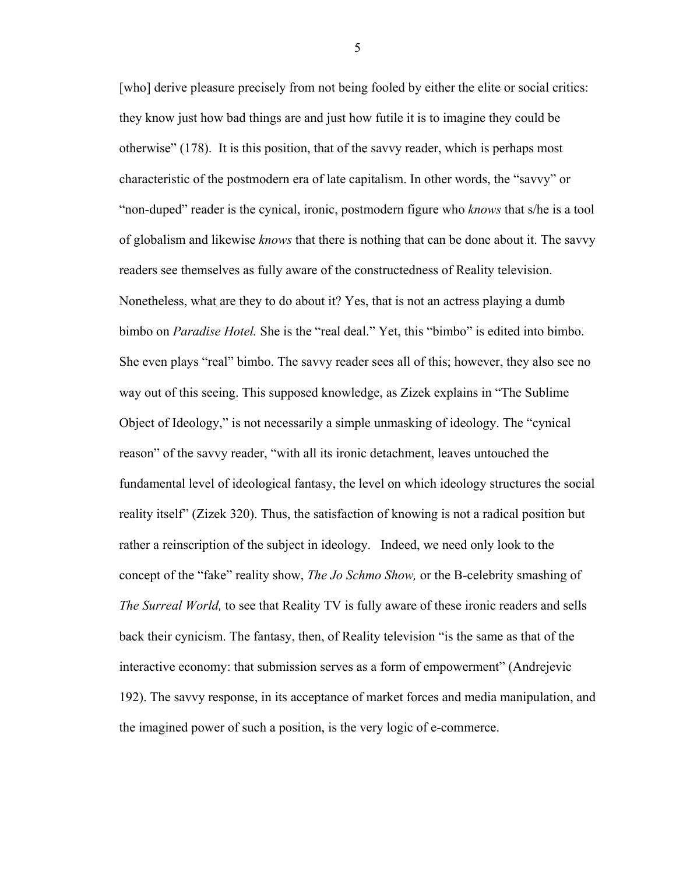[who] derive pleasure precisely from not being fooled by either the elite or social critics: they know just how bad things are and just how futile it is to imagine they could be otherwise" (178). It is this position, that of the savvy reader, which is perhaps most characteristic of the postmodern era of late capitalism. In other words, the "savvy" or "non-duped" reader is the cynical, ironic, postmodern figure who *knows* that s/he is a tool of globalism and likewise *knows* that there is nothing that can be done about it. The savvy readers see themselves as fully aware of the constructedness of Reality television. Nonetheless, what are they to do about it? Yes, that is not an actress playing a dumb bimbo on *Paradise Hotel.* She is the "real deal." Yet, this "bimbo" is edited into bimbo. She even plays "real" bimbo. The savvy reader sees all of this; however, they also see no way out of this seeing. This supposed knowledge, as Zizek explains in "The Sublime Object of Ideology," is not necessarily a simple unmasking of ideology. The "cynical reason" of the savvy reader, "with all its ironic detachment, leaves untouched the fundamental level of ideological fantasy, the level on which ideology structures the social reality itself" (Zizek 320). Thus, the satisfaction of knowing is not a radical position but rather a reinscription of the subject in ideology. Indeed, we need only look to the concept of the "fake" reality show, *The Jo Schmo Show,* or the B-celebrity smashing of *The Surreal World,* to see that Reality TV is fully aware of these ironic readers and sells back their cynicism. The fantasy, then, of Reality television "is the same as that of the interactive economy: that submission serves as a form of empowerment" (Andrejevic 192). The savvy response, in its acceptance of market forces and media manipulation, and the imagined power of such a position, is the very logic of e-commerce.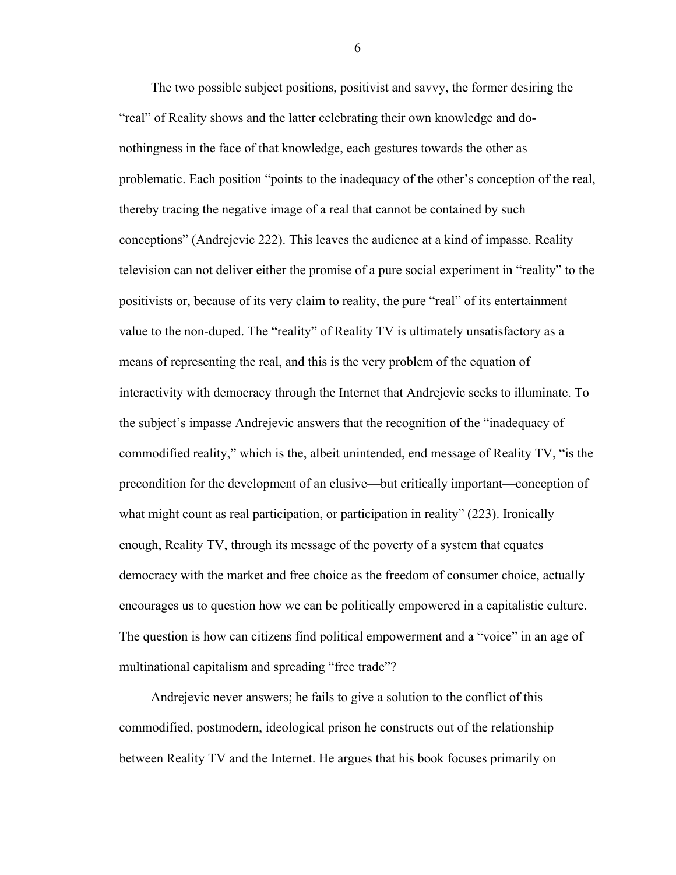The two possible subject positions, positivist and savvy, the former desiring the "real" of Reality shows and the latter celebrating their own knowledge and donothingness in the face of that knowledge, each gestures towards the other as problematic. Each position "points to the inadequacy of the other's conception of the real, thereby tracing the negative image of a real that cannot be contained by such conceptions" (Andrejevic 222). This leaves the audience at a kind of impasse. Reality television can not deliver either the promise of a pure social experiment in "reality" to the positivists or, because of its very claim to reality, the pure "real" of its entertainment value to the non-duped. The "reality" of Reality TV is ultimately unsatisfactory as a means of representing the real, and this is the very problem of the equation of interactivity with democracy through the Internet that Andrejevic seeks to illuminate. To the subject's impasse Andrejevic answers that the recognition of the "inadequacy of commodified reality," which is the, albeit unintended, end message of Reality TV, "is the precondition for the development of an elusive—but critically important—conception of what might count as real participation, or participation in reality" (223). Ironically enough, Reality TV, through its message of the poverty of a system that equates democracy with the market and free choice as the freedom of consumer choice, actually encourages us to question how we can be politically empowered in a capitalistic culture. The question is how can citizens find political empowerment and a "voice" in an age of multinational capitalism and spreading "free trade"?

Andrejevic never answers; he fails to give a solution to the conflict of this commodified, postmodern, ideological prison he constructs out of the relationship between Reality TV and the Internet. He argues that his book focuses primarily on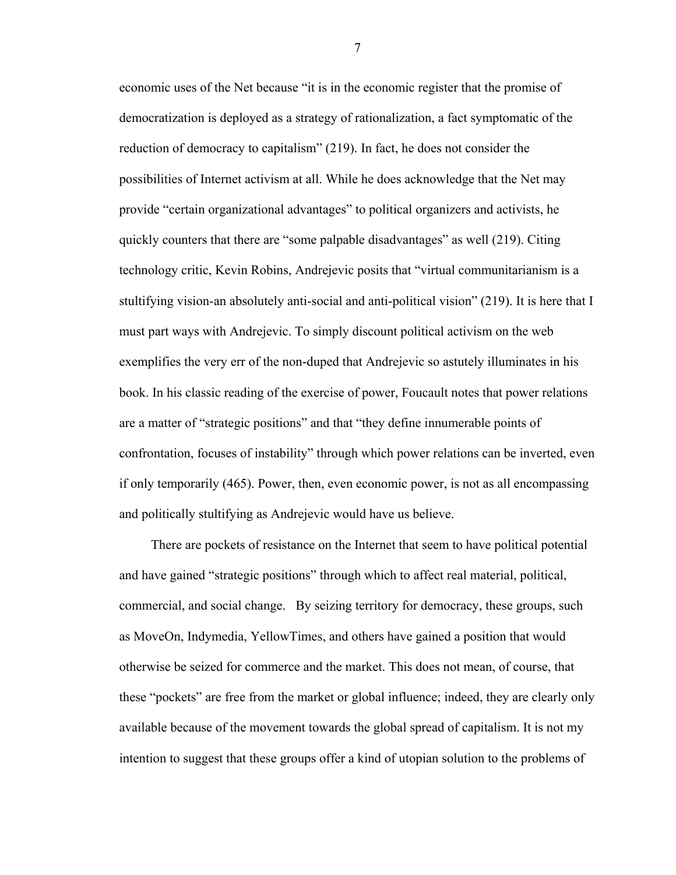economic uses of the Net because "it is in the economic register that the promise of democratization is deployed as a strategy of rationalization, a fact symptomatic of the reduction of democracy to capitalism" (219). In fact, he does not consider the possibilities of Internet activism at all. While he does acknowledge that the Net may provide "certain organizational advantages" to political organizers and activists, he quickly counters that there are "some palpable disadvantages" as well (219). Citing technology critic, Kevin Robins, Andrejevic posits that "virtual communitarianism is a stultifying vision-an absolutely anti-social and anti-political vision" (219). It is here that I must part ways with Andrejevic. To simply discount political activism on the web exemplifies the very err of the non-duped that Andrejevic so astutely illuminates in his book. In his classic reading of the exercise of power, Foucault notes that power relations are a matter of "strategic positions" and that "they define innumerable points of confrontation, focuses of instability" through which power relations can be inverted, even if only temporarily (465). Power, then, even economic power, is not as all encompassing and politically stultifying as Andrejevic would have us believe.

There are pockets of resistance on the Internet that seem to have political potential and have gained "strategic positions" through which to affect real material, political, commercial, and social change. By seizing territory for democracy, these groups, such as MoveOn, Indymedia, YellowTimes, and others have gained a position that would otherwise be seized for commerce and the market. This does not mean, of course, that these "pockets" are free from the market or global influence; indeed, they are clearly only available because of the movement towards the global spread of capitalism. It is not my intention to suggest that these groups offer a kind of utopian solution to the problems of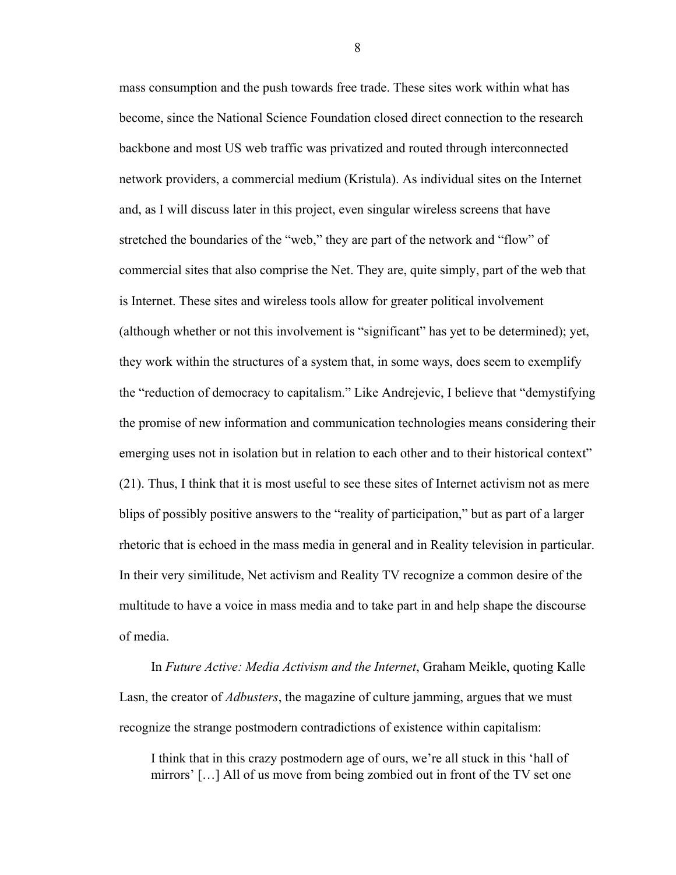mass consumption and the push towards free trade. These sites work within what has become, since the National Science Foundation closed direct connection to the research backbone and most US web traffic was privatized and routed through interconnected network providers, a commercial medium (Kristula). As individual sites on the Internet and, as I will discuss later in this project, even singular wireless screens that have stretched the boundaries of the "web," they are part of the network and "flow" of commercial sites that also comprise the Net. They are, quite simply, part of the web that is Internet. These sites and wireless tools allow for greater political involvement (although whether or not this involvement is "significant" has yet to be determined); yet, they work within the structures of a system that, in some ways, does seem to exemplify the "reduction of democracy to capitalism." Like Andrejevic, I believe that "demystifying the promise of new information and communication technologies means considering their emerging uses not in isolation but in relation to each other and to their historical context" (21). Thus, I think that it is most useful to see these sites of Internet activism not as mere blips of possibly positive answers to the "reality of participation," but as part of a larger rhetoric that is echoed in the mass media in general and in Reality television in particular. In their very similitude, Net activism and Reality TV recognize a common desire of the multitude to have a voice in mass media and to take part in and help shape the discourse of media.

In *Future Active: Media Activism and the Internet*, Graham Meikle, quoting Kalle Lasn, the creator of *Adbusters*, the magazine of culture jamming, argues that we must recognize the strange postmodern contradictions of existence within capitalism:

I think that in this crazy postmodern age of ours, we're all stuck in this 'hall of mirrors' […] All of us move from being zombied out in front of the TV set one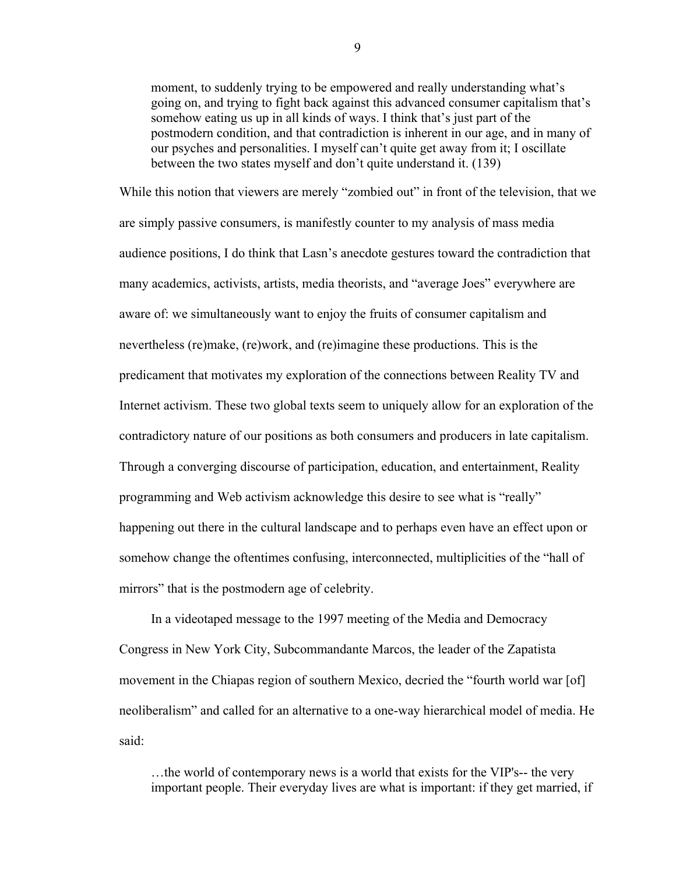moment, to suddenly trying to be empowered and really understanding what's going on, and trying to fight back against this advanced consumer capitalism that's somehow eating us up in all kinds of ways. I think that's just part of the postmodern condition, and that contradiction is inherent in our age, and in many of our psyches and personalities. I myself can't quite get away from it; I oscillate between the two states myself and don't quite understand it. (139)

While this notion that viewers are merely "zombied out" in front of the television, that we are simply passive consumers, is manifestly counter to my analysis of mass media audience positions, I do think that Lasn's anecdote gestures toward the contradiction that many academics, activists, artists, media theorists, and "average Joes" everywhere are aware of: we simultaneously want to enjoy the fruits of consumer capitalism and nevertheless (re)make, (re)work, and (re)imagine these productions. This is the predicament that motivates my exploration of the connections between Reality TV and Internet activism. These two global texts seem to uniquely allow for an exploration of the contradictory nature of our positions as both consumers and producers in late capitalism. Through a converging discourse of participation, education, and entertainment, Reality programming and Web activism acknowledge this desire to see what is "really" happening out there in the cultural landscape and to perhaps even have an effect upon or somehow change the oftentimes confusing, interconnected, multiplicities of the "hall of mirrors" that is the postmodern age of celebrity.

In a videotaped message to the 1997 meeting of the Media and Democracy Congress in New York City, Subcommandante Marcos, the leader of the Zapatista movement in the Chiapas region of southern Mexico, decried the "fourth world war [of] neoliberalism" and called for an alternative to a one-way hierarchical model of media. He said:

…the world of contemporary news is a world that exists for the VIP's-- the very important people. Their everyday lives are what is important: if they get married, if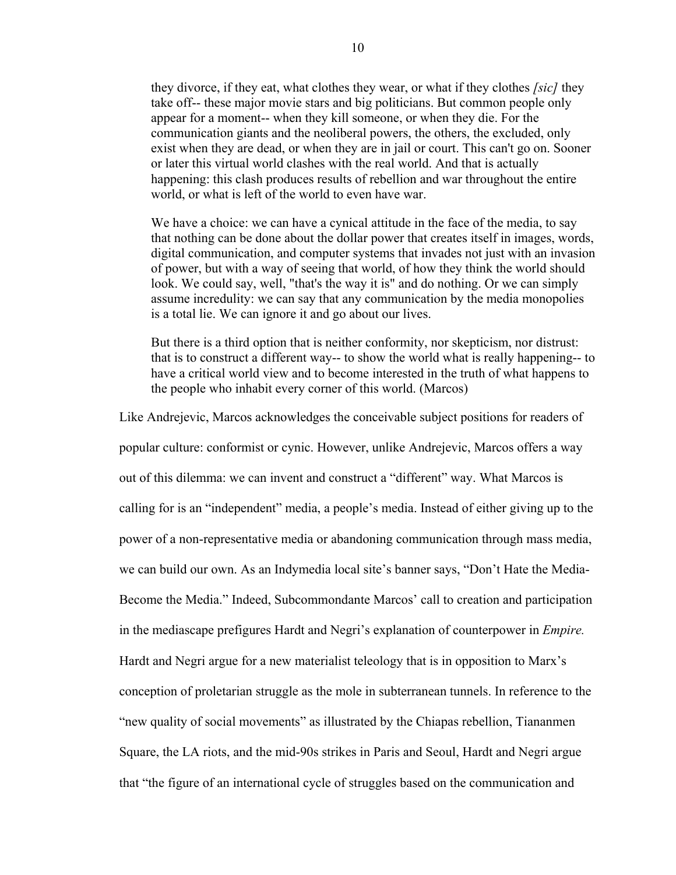they divorce, if they eat, what clothes they wear, or what if they clothes *[sic]* they take off-- these major movie stars and big politicians. But common people only appear for a moment-- when they kill someone, or when they die. For the communication giants and the neoliberal powers, the others, the excluded, only exist when they are dead, or when they are in jail or court. This can't go on. Sooner or later this virtual world clashes with the real world. And that is actually happening: this clash produces results of rebellion and war throughout the entire world, or what is left of the world to even have war.

We have a choice: we can have a cynical attitude in the face of the media, to say that nothing can be done about the dollar power that creates itself in images, words, digital communication, and computer systems that invades not just with an invasion of power, but with a way of seeing that world, of how they think the world should look. We could say, well, "that's the way it is" and do nothing. Or we can simply assume incredulity: we can say that any communication by the media monopolies is a total lie. We can ignore it and go about our lives.

But there is a third option that is neither conformity, nor skepticism, nor distrust: that is to construct a different way-- to show the world what is really happening-- to have a critical world view and to become interested in the truth of what happens to the people who inhabit every corner of this world. (Marcos)

Like Andrejevic, Marcos acknowledges the conceivable subject positions for readers of popular culture: conformist or cynic. However, unlike Andrejevic, Marcos offers a way out of this dilemma: we can invent and construct a "different" way. What Marcos is calling for is an "independent" media, a people's media. Instead of either giving up to the power of a non-representative media or abandoning communication through mass media, we can build our own. As an Indymedia local site's banner says, "Don't Hate the Media-Become the Media." Indeed, Subcommondante Marcos' call to creation and participation in the mediascape prefigures Hardt and Negri's explanation of counterpower in *Empire.* Hardt and Negri argue for a new materialist teleology that is in opposition to Marx's conception of proletarian struggle as the mole in subterranean tunnels. In reference to the "new quality of social movements" as illustrated by the Chiapas rebellion, Tiananmen Square, the LA riots, and the mid-90s strikes in Paris and Seoul, Hardt and Negri argue that "the figure of an international cycle of struggles based on the communication and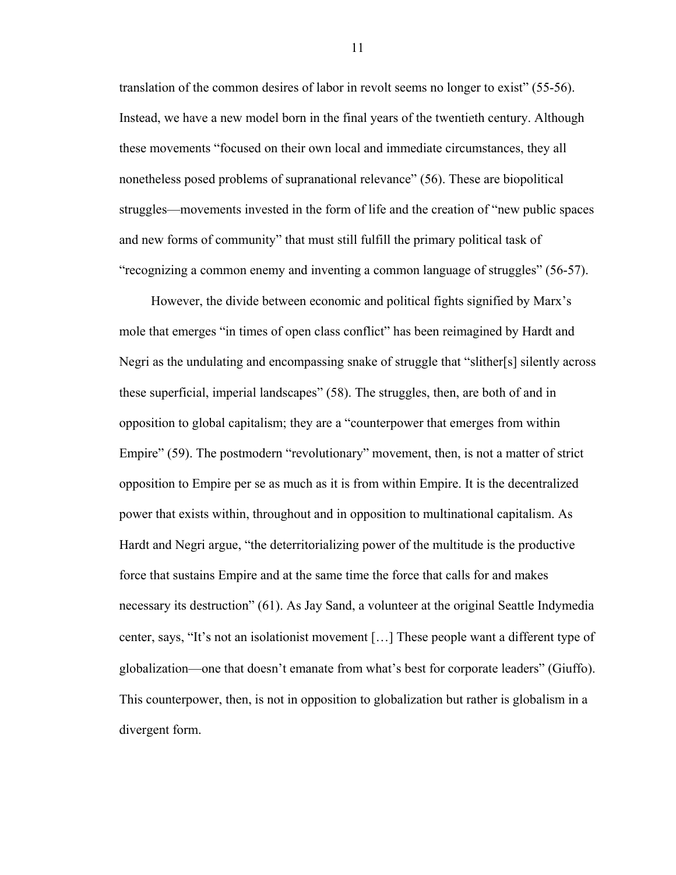translation of the common desires of labor in revolt seems no longer to exist" (55-56). Instead, we have a new model born in the final years of the twentieth century. Although these movements "focused on their own local and immediate circumstances, they all nonetheless posed problems of supranational relevance" (56). These are biopolitical struggles—movements invested in the form of life and the creation of "new public spaces and new forms of community" that must still fulfill the primary political task of "recognizing a common enemy and inventing a common language of struggles" (56-57).

However, the divide between economic and political fights signified by Marx's mole that emerges "in times of open class conflict" has been reimagined by Hardt and Negri as the undulating and encompassing snake of struggle that "slither[s] silently across these superficial, imperial landscapes" (58). The struggles, then, are both of and in opposition to global capitalism; they are a "counterpower that emerges from within Empire" (59). The postmodern "revolutionary" movement, then, is not a matter of strict opposition to Empire per se as much as it is from within Empire. It is the decentralized power that exists within, throughout and in opposition to multinational capitalism. As Hardt and Negri argue, "the deterritorializing power of the multitude is the productive force that sustains Empire and at the same time the force that calls for and makes necessary its destruction" (61). As Jay Sand, a volunteer at the original Seattle Indymedia center, says, "It's not an isolationist movement […] These people want a different type of globalization—one that doesn't emanate from what's best for corporate leaders" (Giuffo). This counterpower, then, is not in opposition to globalization but rather is globalism in a divergent form.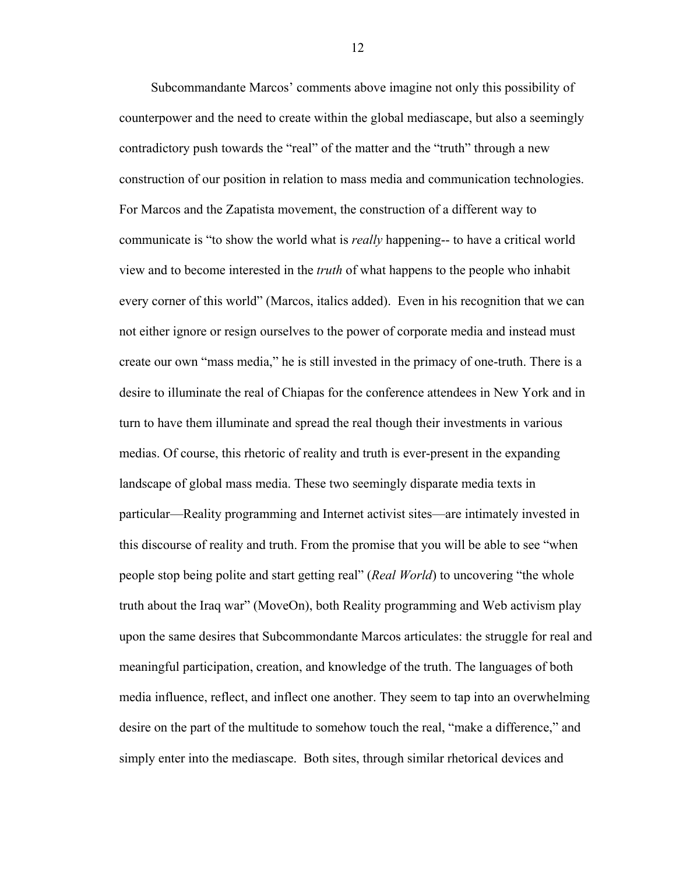Subcommandante Marcos' comments above imagine not only this possibility of counterpower and the need to create within the global mediascape, but also a seemingly contradictory push towards the "real" of the matter and the "truth" through a new construction of our position in relation to mass media and communication technologies. For Marcos and the Zapatista movement, the construction of a different way to communicate is "to show the world what is *really* happening-- to have a critical world view and to become interested in the *truth* of what happens to the people who inhabit every corner of this world" (Marcos, italics added). Even in his recognition that we can not either ignore or resign ourselves to the power of corporate media and instead must create our own "mass media," he is still invested in the primacy of one-truth. There is a desire to illuminate the real of Chiapas for the conference attendees in New York and in turn to have them illuminate and spread the real though their investments in various medias. Of course, this rhetoric of reality and truth is ever-present in the expanding landscape of global mass media. These two seemingly disparate media texts in particular—Reality programming and Internet activist sites—are intimately invested in this discourse of reality and truth. From the promise that you will be able to see "when people stop being polite and start getting real" (*Real World*) to uncovering "the whole truth about the Iraq war" (MoveOn), both Reality programming and Web activism play upon the same desires that Subcommondante Marcos articulates: the struggle for real and meaningful participation, creation, and knowledge of the truth. The languages of both media influence, reflect, and inflect one another. They seem to tap into an overwhelming desire on the part of the multitude to somehow touch the real, "make a difference," and simply enter into the mediascape. Both sites, through similar rhetorical devices and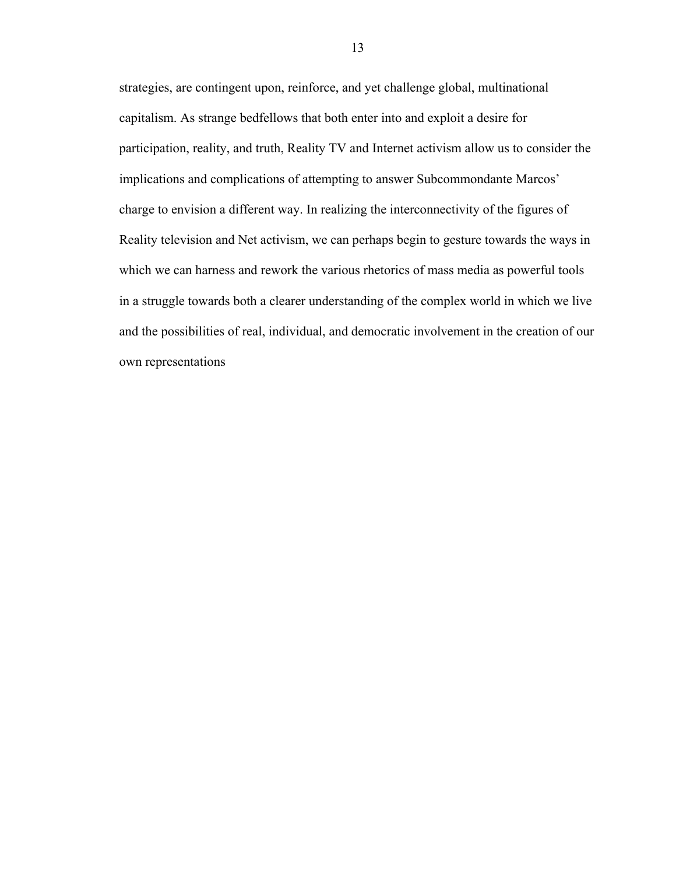strategies, are contingent upon, reinforce, and yet challenge global, multinational capitalism. As strange bedfellows that both enter into and exploit a desire for participation, reality, and truth, Reality TV and Internet activism allow us to consider the implications and complications of attempting to answer Subcommondante Marcos' charge to envision a different way. In realizing the interconnectivity of the figures of Reality television and Net activism, we can perhaps begin to gesture towards the ways in which we can harness and rework the various rhetorics of mass media as powerful tools in a struggle towards both a clearer understanding of the complex world in which we live and the possibilities of real, individual, and democratic involvement in the creation of our own representations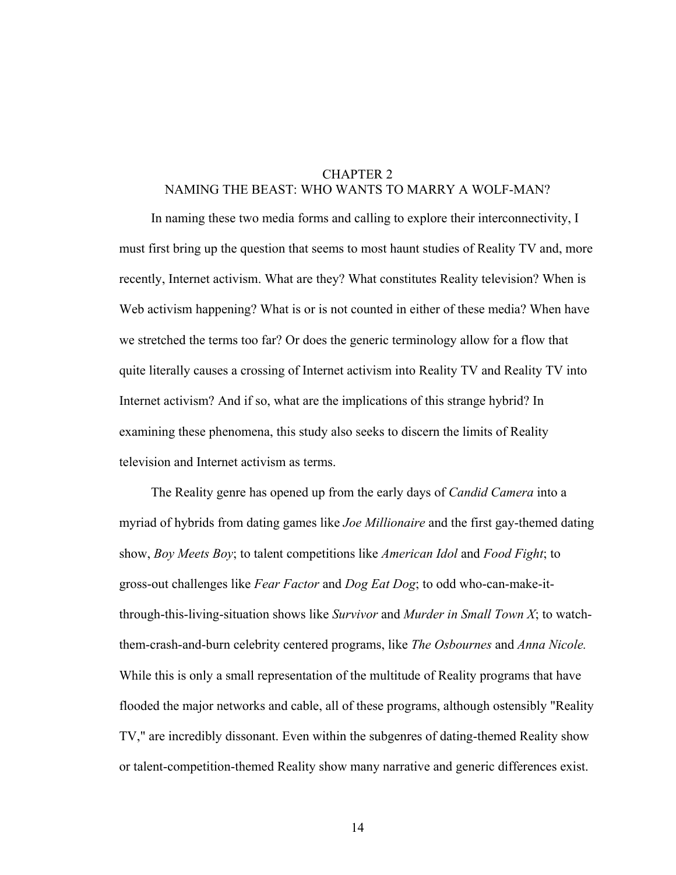## <span id="page-19-0"></span>CHAPTER 2 NAMING THE BEAST: WHO WANTS TO MARRY A WOLF-MAN?

In naming these two media forms and calling to explore their interconnectivity, I must first bring up the question that seems to most haunt studies of Reality TV and, more recently, Internet activism. What are they? What constitutes Reality television? When is Web activism happening? What is or is not counted in either of these media? When have we stretched the terms too far? Or does the generic terminology allow for a flow that quite literally causes a crossing of Internet activism into Reality TV and Reality TV into Internet activism? And if so, what are the implications of this strange hybrid? In examining these phenomena, this study also seeks to discern the limits of Reality television and Internet activism as terms.

The Reality genre has opened up from the early days of *Candid Camera* into a myriad of hybrids from dating games like *Joe Millionaire* and the first gay-themed dating show, *Boy Meets Boy*; to talent competitions like *American Idol* and *Food Fight*; to gross-out challenges like *Fear Factor* and *Dog Eat Dog*; to odd who-can-make-itthrough-this-living-situation shows like *Survivor* and *Murder in Small Town X*; to watchthem-crash-and-burn celebrity centered programs, like *The Osbournes* and *Anna Nicole.*  While this is only a small representation of the multitude of Reality programs that have flooded the major networks and cable, all of these programs, although ostensibly "Reality TV," are incredibly dissonant. Even within the subgenres of dating-themed Reality show or talent-competition-themed Reality show many narrative and generic differences exist.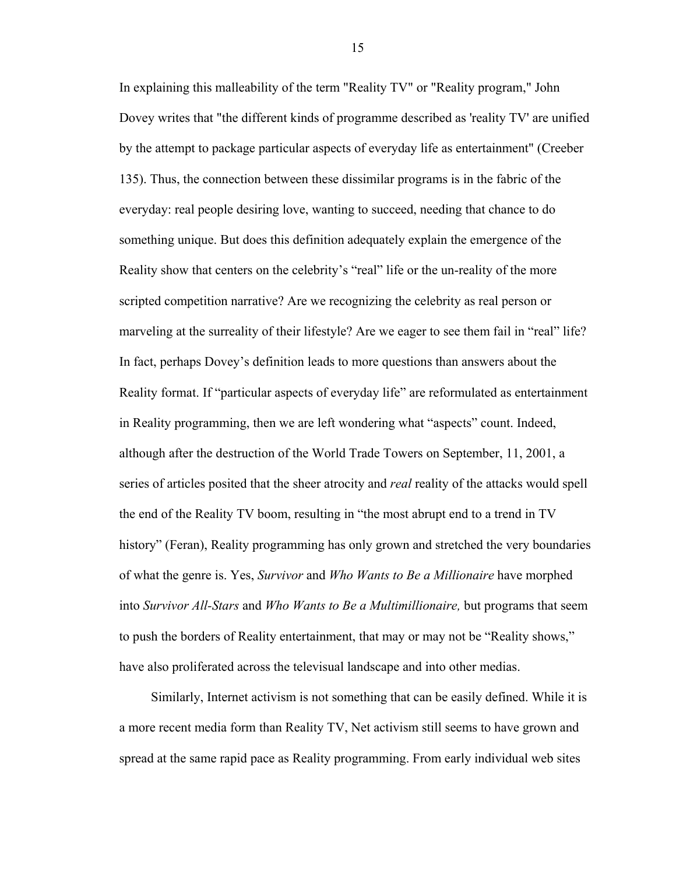In explaining this malleability of the term "Reality TV" or "Reality program," John Dovey writes that "the different kinds of programme described as 'reality TV' are unified by the attempt to package particular aspects of everyday life as entertainment" (Creeber 135). Thus, the connection between these dissimilar programs is in the fabric of the everyday: real people desiring love, wanting to succeed, needing that chance to do something unique. But does this definition adequately explain the emergence of the Reality show that centers on the celebrity's "real" life or the un-reality of the more scripted competition narrative? Are we recognizing the celebrity as real person or marveling at the surreality of their lifestyle? Are we eager to see them fail in "real" life? In fact, perhaps Dovey's definition leads to more questions than answers about the Reality format. If "particular aspects of everyday life" are reformulated as entertainment in Reality programming, then we are left wondering what "aspects" count. Indeed, although after the destruction of the World Trade Towers on September, 11, 2001, a series of articles posited that the sheer atrocity and *real* reality of the attacks would spell the end of the Reality TV boom, resulting in "the most abrupt end to a trend in TV history" (Feran), Reality programming has only grown and stretched the very boundaries of what the genre is. Yes, *Survivor* and *Who Wants to Be a Millionaire* have morphed into *Survivor All-Stars* and *Who Wants to Be a Multimillionaire,* but programs that seem to push the borders of Reality entertainment, that may or may not be "Reality shows," have also proliferated across the televisual landscape and into other medias.

Similarly, Internet activism is not something that can be easily defined. While it is a more recent media form than Reality TV, Net activism still seems to have grown and spread at the same rapid pace as Reality programming. From early individual web sites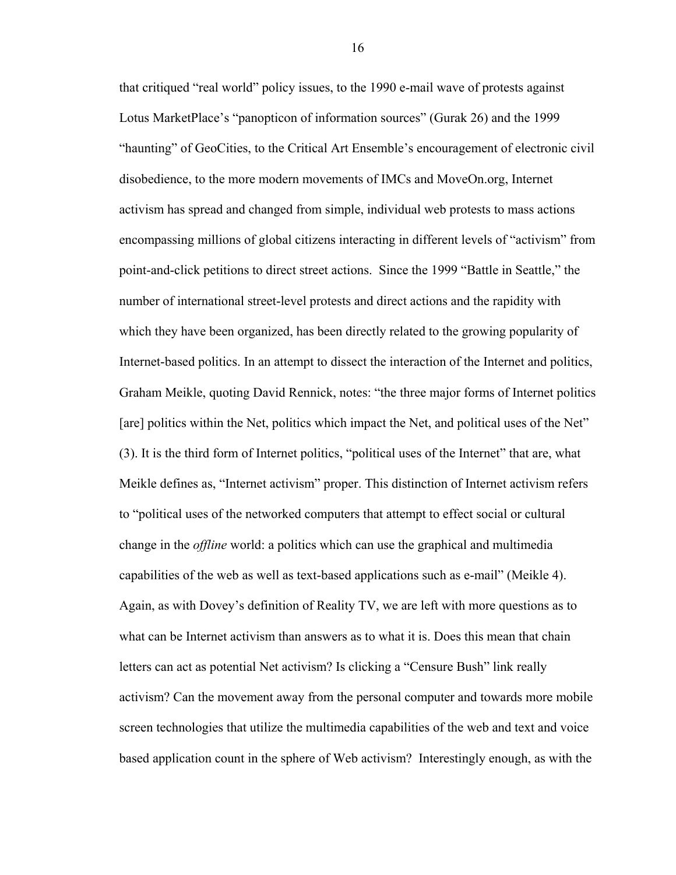that critiqued "real world" policy issues, to the 1990 e-mail wave of protests against Lotus MarketPlace's "panopticon of information sources" (Gurak 26) and the 1999 "haunting" of GeoCities, to the Critical Art Ensemble's encouragement of electronic civil disobedience, to the more modern movements of IMCs and MoveOn.org, Internet activism has spread and changed from simple, individual web protests to mass actions encompassing millions of global citizens interacting in different levels of "activism" from point-and-click petitions to direct street actions. Since the 1999 "Battle in Seattle," the number of international street-level protests and direct actions and the rapidity with which they have been organized, has been directly related to the growing popularity of Internet-based politics. In an attempt to dissect the interaction of the Internet and politics, Graham Meikle, quoting David Rennick, notes: "the three major forms of Internet politics [are] politics within the Net, politics which impact the Net, and political uses of the Net" (3). It is the third form of Internet politics, "political uses of the Internet" that are, what Meikle defines as, "Internet activism" proper. This distinction of Internet activism refers to "political uses of the networked computers that attempt to effect social or cultural change in the *offline* world: a politics which can use the graphical and multimedia capabilities of the web as well as text-based applications such as e-mail" (Meikle 4). Again, as with Dovey's definition of Reality TV, we are left with more questions as to what can be Internet activism than answers as to what it is. Does this mean that chain letters can act as potential Net activism? Is clicking a "Censure Bush" link really activism? Can the movement away from the personal computer and towards more mobile screen technologies that utilize the multimedia capabilities of the web and text and voice based application count in the sphere of Web activism? Interestingly enough, as with the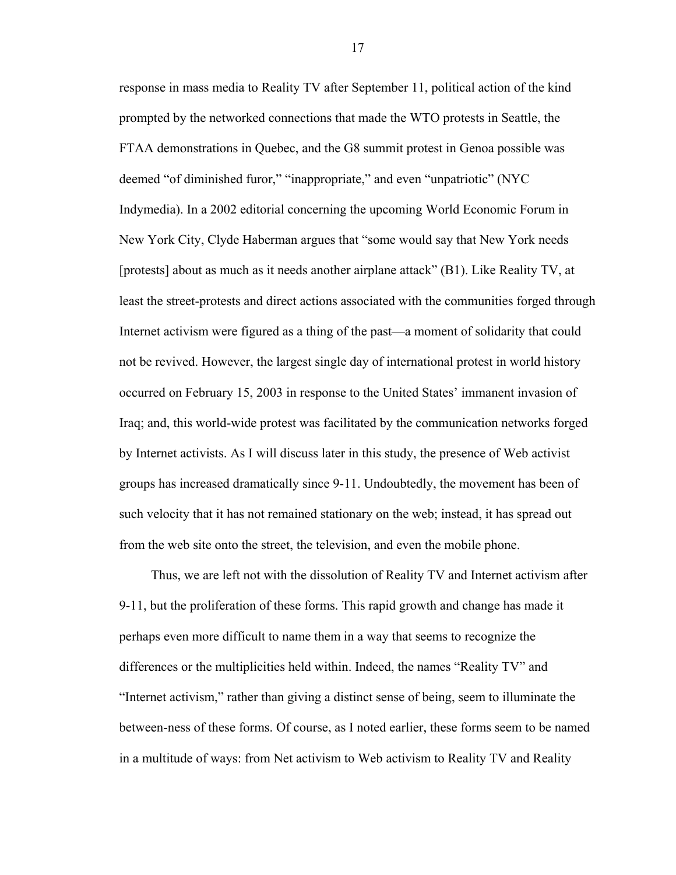response in mass media to Reality TV after September 11, political action of the kind prompted by the networked connections that made the WTO protests in Seattle, the FTAA demonstrations in Quebec, and the G8 summit protest in Genoa possible was deemed "of diminished furor," "inappropriate," and even "unpatriotic" (NYC Indymedia). In a 2002 editorial concerning the upcoming World Economic Forum in New York City, Clyde Haberman argues that "some would say that New York needs [protests] about as much as it needs another airplane attack" (B1). Like Reality TV, at least the street-protests and direct actions associated with the communities forged through Internet activism were figured as a thing of the past—a moment of solidarity that could not be revived. However, the largest single day of international protest in world history occurred on February 15, 2003 in response to the United States' immanent invasion of Iraq; and, this world-wide protest was facilitated by the communication networks forged by Internet activists. As I will discuss later in this study, the presence of Web activist groups has increased dramatically since 9-11. Undoubtedly, the movement has been of such velocity that it has not remained stationary on the web; instead, it has spread out from the web site onto the street, the television, and even the mobile phone.

Thus, we are left not with the dissolution of Reality TV and Internet activism after 9-11, but the proliferation of these forms. This rapid growth and change has made it perhaps even more difficult to name them in a way that seems to recognize the differences or the multiplicities held within. Indeed, the names "Reality TV" and "Internet activism," rather than giving a distinct sense of being, seem to illuminate the between-ness of these forms. Of course, as I noted earlier, these forms seem to be named in a multitude of ways: from Net activism to Web activism to Reality TV and Reality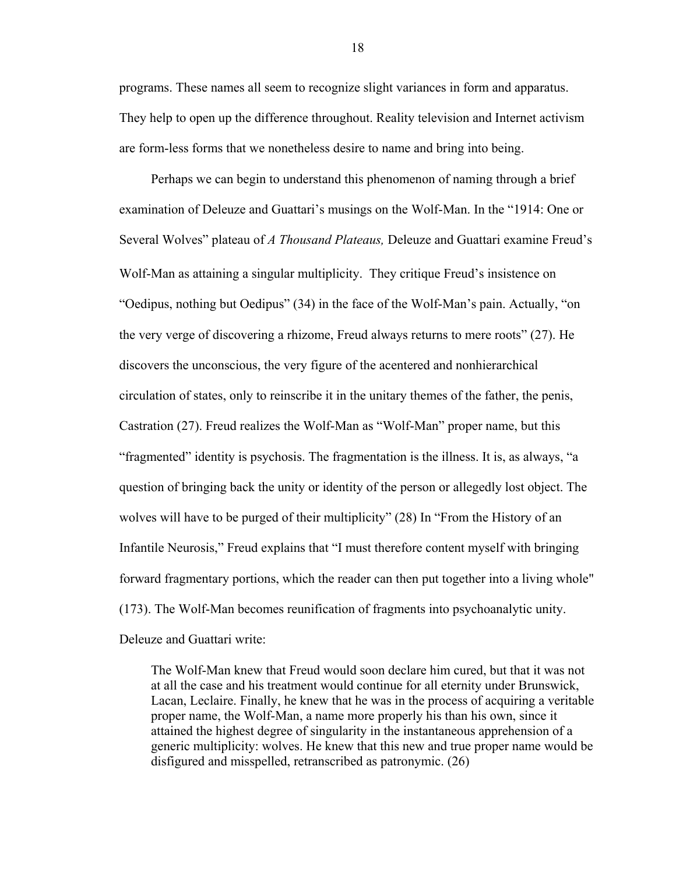programs. These names all seem to recognize slight variances in form and apparatus. They help to open up the difference throughout. Reality television and Internet activism are form-less forms that we nonetheless desire to name and bring into being.

Perhaps we can begin to understand this phenomenon of naming through a brief examination of Deleuze and Guattari's musings on the Wolf-Man. In the "1914: One or Several Wolves" plateau of *A Thousand Plateaus,* Deleuze and Guattari examine Freud's Wolf-Man as attaining a singular multiplicity. They critique Freud's insistence on "Oedipus, nothing but Oedipus" (34) in the face of the Wolf-Man's pain. Actually, "on the very verge of discovering a rhizome, Freud always returns to mere roots" (27). He discovers the unconscious, the very figure of the acentered and nonhierarchical circulation of states, only to reinscribe it in the unitary themes of the father, the penis, Castration (27). Freud realizes the Wolf-Man as "Wolf-Man" proper name, but this "fragmented" identity is psychosis. The fragmentation is the illness. It is, as always, "a question of bringing back the unity or identity of the person or allegedly lost object. The wolves will have to be purged of their multiplicity" (28) In "From the History of an Infantile Neurosis," Freud explains that "I must therefore content myself with bringing forward fragmentary portions, which the reader can then put together into a living whole" (173). The Wolf-Man becomes reunification of fragments into psychoanalytic unity. Deleuze and Guattari write:

The Wolf-Man knew that Freud would soon declare him cured, but that it was not at all the case and his treatment would continue for all eternity under Brunswick, Lacan, Leclaire. Finally, he knew that he was in the process of acquiring a veritable proper name, the Wolf-Man, a name more properly his than his own, since it attained the highest degree of singularity in the instantaneous apprehension of a generic multiplicity: wolves. He knew that this new and true proper name would be disfigured and misspelled, retranscribed as patronymic. (26)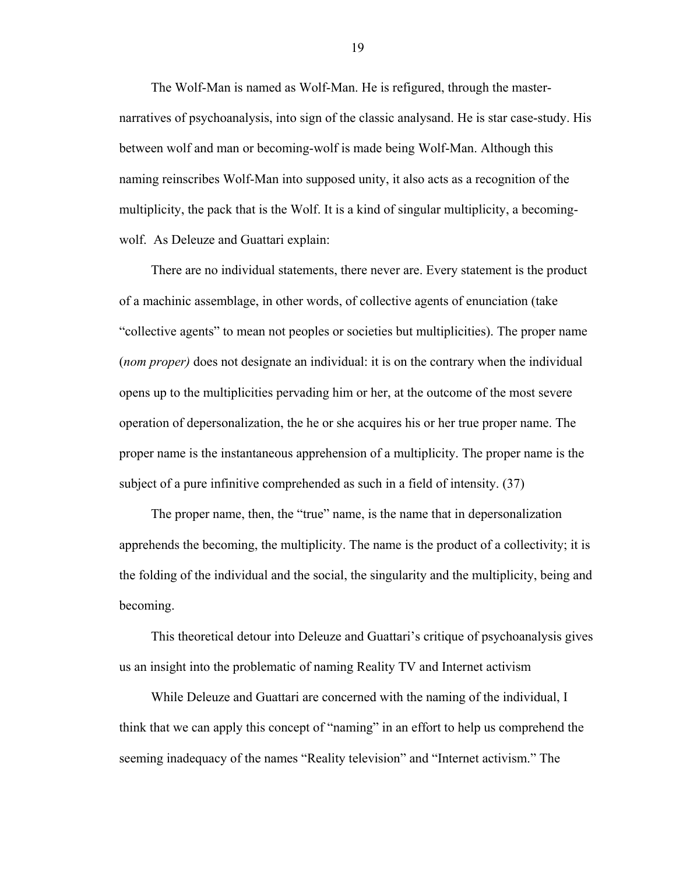The Wolf-Man is named as Wolf-Man. He is refigured, through the masternarratives of psychoanalysis, into sign of the classic analysand. He is star case-study. His between wolf and man or becoming-wolf is made being Wolf-Man. Although this naming reinscribes Wolf-Man into supposed unity, it also acts as a recognition of the multiplicity, the pack that is the Wolf. It is a kind of singular multiplicity, a becomingwolf. As Deleuze and Guattari explain:

There are no individual statements, there never are. Every statement is the product of a machinic assemblage, in other words, of collective agents of enunciation (take "collective agents" to mean not peoples or societies but multiplicities). The proper name (*nom proper)* does not designate an individual: it is on the contrary when the individual opens up to the multiplicities pervading him or her, at the outcome of the most severe operation of depersonalization, the he or she acquires his or her true proper name. The proper name is the instantaneous apprehension of a multiplicity. The proper name is the subject of a pure infinitive comprehended as such in a field of intensity. (37)

The proper name, then, the "true" name, is the name that in depersonalization apprehends the becoming, the multiplicity. The name is the product of a collectivity; it is the folding of the individual and the social, the singularity and the multiplicity, being and becoming.

This theoretical detour into Deleuze and Guattari's critique of psychoanalysis gives us an insight into the problematic of naming Reality TV and Internet activism

While Deleuze and Guattari are concerned with the naming of the individual, I think that we can apply this concept of "naming" in an effort to help us comprehend the seeming inadequacy of the names "Reality television" and "Internet activism." The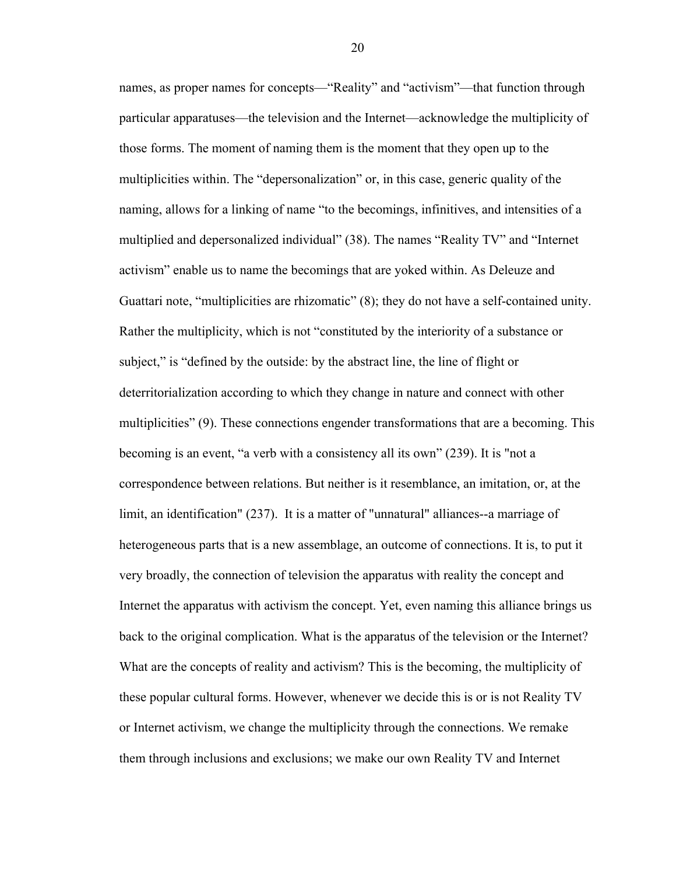names, as proper names for concepts—"Reality" and "activism"—that function through particular apparatuses—the television and the Internet—acknowledge the multiplicity of those forms. The moment of naming them is the moment that they open up to the multiplicities within. The "depersonalization" or, in this case, generic quality of the naming, allows for a linking of name "to the becomings, infinitives, and intensities of a multiplied and depersonalized individual" (38). The names "Reality TV" and "Internet activism" enable us to name the becomings that are yoked within. As Deleuze and Guattari note, "multiplicities are rhizomatic" (8); they do not have a self-contained unity. Rather the multiplicity, which is not "constituted by the interiority of a substance or subject," is "defined by the outside: by the abstract line, the line of flight or deterritorialization according to which they change in nature and connect with other multiplicities" (9). These connections engender transformations that are a becoming. This becoming is an event, "a verb with a consistency all its own" (239). It is "not a correspondence between relations. But neither is it resemblance, an imitation, or, at the limit, an identification" (237). It is a matter of "unnatural" alliances--a marriage of heterogeneous parts that is a new assemblage, an outcome of connections. It is, to put it very broadly, the connection of television the apparatus with reality the concept and Internet the apparatus with activism the concept. Yet, even naming this alliance brings us back to the original complication. What is the apparatus of the television or the Internet? What are the concepts of reality and activism? This is the becoming, the multiplicity of these popular cultural forms. However, whenever we decide this is or is not Reality TV or Internet activism, we change the multiplicity through the connections. We remake them through inclusions and exclusions; we make our own Reality TV and Internet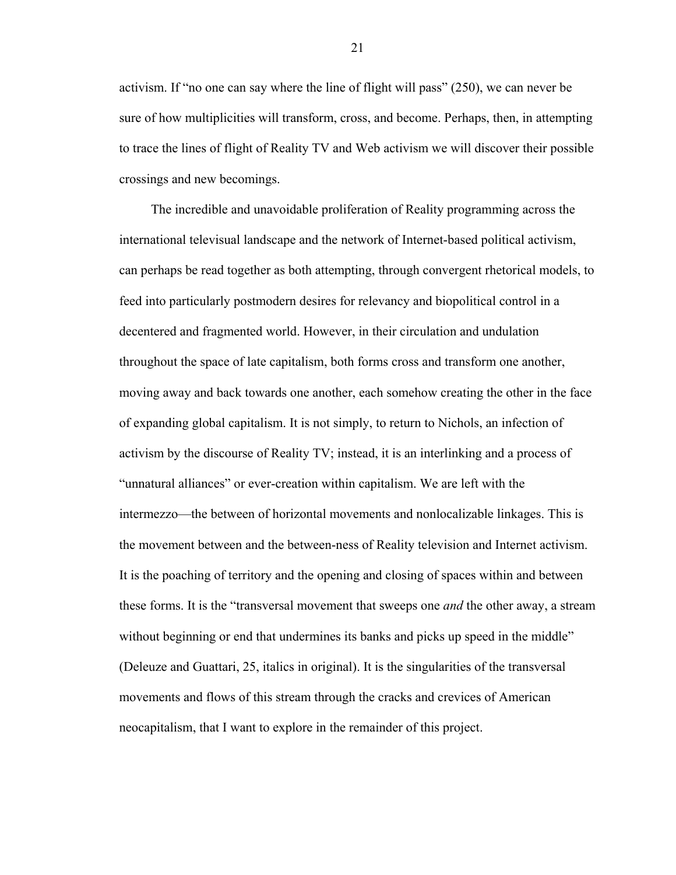activism. If "no one can say where the line of flight will pass" (250), we can never be sure of how multiplicities will transform, cross, and become. Perhaps, then, in attempting to trace the lines of flight of Reality TV and Web activism we will discover their possible crossings and new becomings.

The incredible and unavoidable proliferation of Reality programming across the international televisual landscape and the network of Internet-based political activism, can perhaps be read together as both attempting, through convergent rhetorical models, to feed into particularly postmodern desires for relevancy and biopolitical control in a decentered and fragmented world. However, in their circulation and undulation throughout the space of late capitalism, both forms cross and transform one another, moving away and back towards one another, each somehow creating the other in the face of expanding global capitalism. It is not simply, to return to Nichols, an infection of activism by the discourse of Reality TV; instead, it is an interlinking and a process of "unnatural alliances" or ever-creation within capitalism. We are left with the intermezzo—the between of horizontal movements and nonlocalizable linkages. This is the movement between and the between-ness of Reality television and Internet activism. It is the poaching of territory and the opening and closing of spaces within and between these forms. It is the "transversal movement that sweeps one *and* the other away, a stream without beginning or end that undermines its banks and picks up speed in the middle" (Deleuze and Guattari, 25, italics in original). It is the singularities of the transversal movements and flows of this stream through the cracks and crevices of American neocapitalism, that I want to explore in the remainder of this project.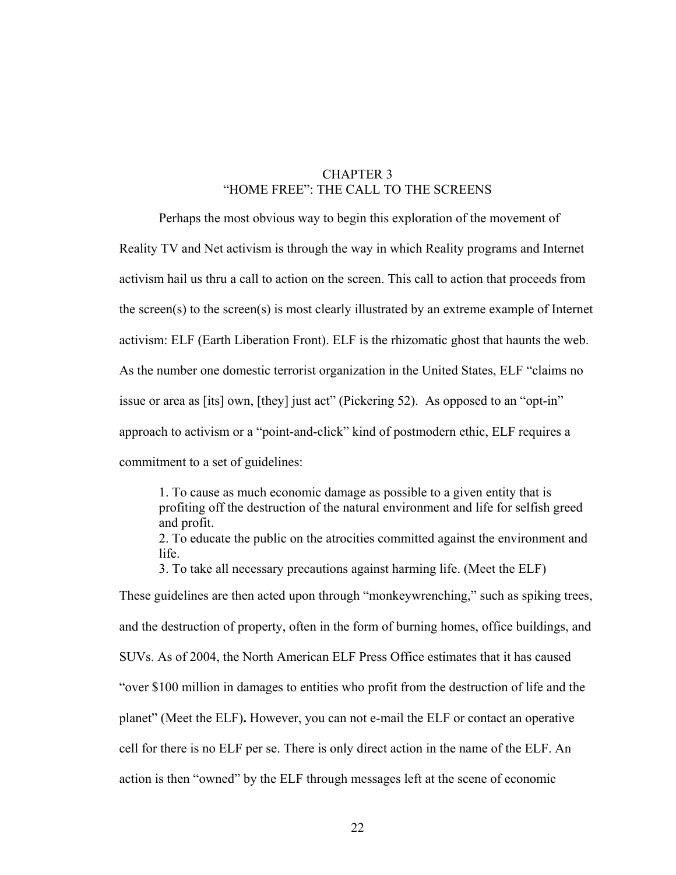## CHAPTER 3 "HOME FREE": THE CALL TO THE SCREENS

<span id="page-27-0"></span>Perhaps the most obvious way to begin this exploration of the movement of Reality TV and Net activism is through the way in which Reality programs and Internet activism hail us thru a call to action on the screen. This call to action that proceeds from the screen(s) to the screen(s) is most clearly illustrated by an extreme example of Internet activism: ELF (Earth Liberation Front). ELF is the rhizomatic ghost that haunts the web. As the number one domestic terrorist organization in the United States, ELF "claims no issue or area as [its] own, [they] just act" (Pickering 52). As opposed to an "opt-in" approach to activism or a "point-and-click" kind of postmodern ethic, ELF requires a commitment to a set of guidelines:

1. To cause as much economic damage as possible to a given entity that is profiting off the destruction of the natural environment and life for selfish greed and profit.

2. To educate the public on the atrocities committed against the environment and life.

3. To take all necessary precautions against harming life. (Meet the ELF)

These guidelines are then acted upon through "monkeywrenching," such as spiking trees, and the destruction of property, often in the form of burning homes, office buildings, and SUVs. As of 2004, the North American ELF Press Office estimates that it has caused "over \$100 million in damages to entities who profit from the destruction of life and the planet" (Meet the ELF)**.** However, you can not e-mail the ELF or contact an operative cell for there is no ELF per se. There is only direct action in the name of the ELF. An action is then "owned" by the ELF through messages left at the scene of economic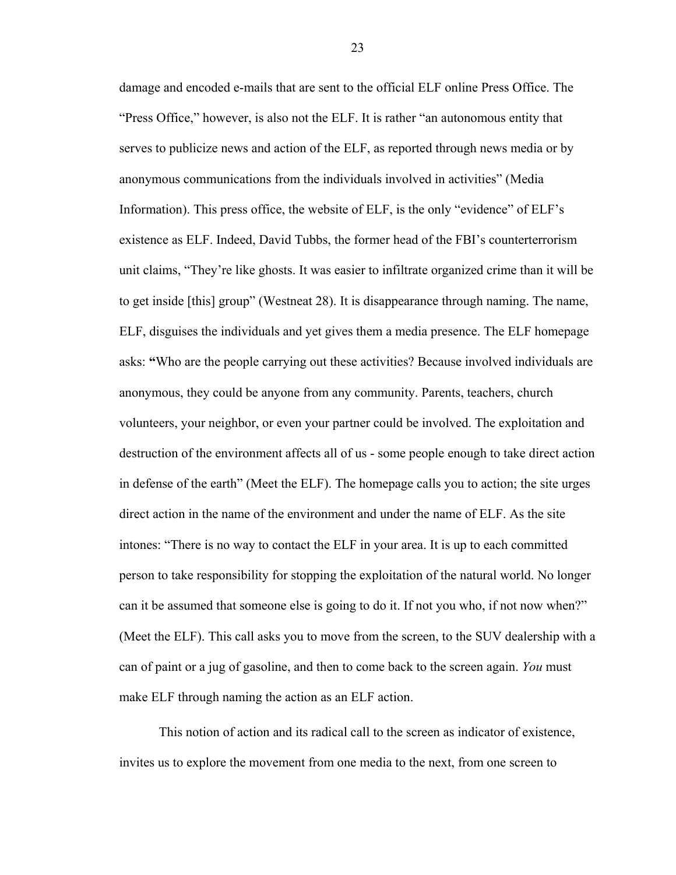damage and encoded e-mails that are sent to the official ELF online Press Office. The "Press Office," however, is also not the ELF. It is rather "an autonomous entity that serves to publicize news and action of the ELF, as reported through news media or by anonymous communications from the individuals involved in activities" (Media Information). This press office, the website of ELF, is the only "evidence" of ELF's existence as ELF. Indeed, David Tubbs, the former head of the FBI's counterterrorism unit claims, "They're like ghosts. It was easier to infiltrate organized crime than it will be to get inside [this] group" (Westneat 28). It is disappearance through naming. The name, ELF, disguises the individuals and yet gives them a media presence. The ELF homepage asks: **"**Who are the people carrying out these activities? Because involved individuals are anonymous, they could be anyone from any community. Parents, teachers, church volunteers, your neighbor, or even your partner could be involved. The exploitation and destruction of the environment affects all of us - some people enough to take direct action in defense of the earth" (Meet the ELF). The homepage calls you to action; the site urges direct action in the name of the environment and under the name of ELF. As the site intones: "There is no way to contact the ELF in your area. It is up to each committed person to take responsibility for stopping the exploitation of the natural world. No longer can it be assumed that someone else is going to do it. If not you who, if not now when?" (Meet the ELF). This call asks you to move from the screen, to the SUV dealership with a can of paint or a jug of gasoline, and then to come back to the screen again. *You* must make ELF through naming the action as an ELF action.

This notion of action and its radical call to the screen as indicator of existence, invites us to explore the movement from one media to the next, from one screen to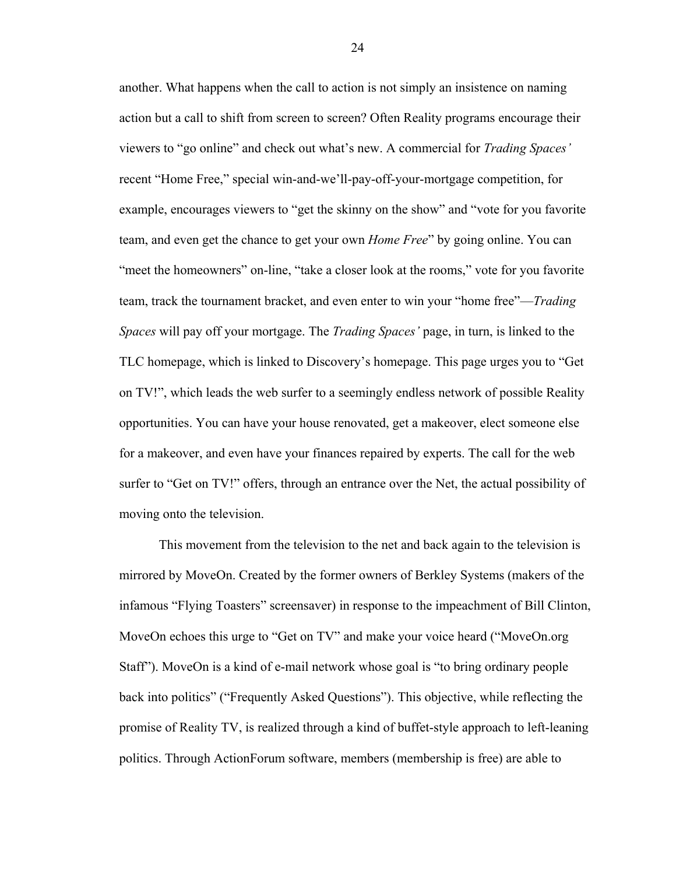another. What happens when the call to action is not simply an insistence on naming action but a call to shift from screen to screen? Often Reality programs encourage their viewers to "go online" and check out what's new. A commercial for *Trading Spaces'*  recent "Home Free," special win-and-we'll-pay-off-your-mortgage competition, for example, encourages viewers to "get the skinny on the show" and "vote for you favorite team, and even get the chance to get your own *Home Free*" by going online. You can "meet the homeowners" on-line, "take a closer look at the rooms," vote for you favorite team, track the tournament bracket, and even enter to win your "home free"—*Trading Spaces* will pay off your mortgage. The *Trading Spaces'* page, in turn, is linked to the TLC homepage, which is linked to Discovery's homepage. This page urges you to "Get on TV!", which leads the web surfer to a seemingly endless network of possible Reality opportunities. You can have your house renovated, get a makeover, elect someone else for a makeover, and even have your finances repaired by experts. The call for the web surfer to "Get on TV!" offers, through an entrance over the Net, the actual possibility of moving onto the television.

This movement from the television to the net and back again to the television is mirrored by MoveOn. Created by the former owners of Berkley Systems (makers of the infamous "Flying Toasters" screensaver) in response to the impeachment of Bill Clinton, MoveOn echoes this urge to "Get on TV" and make your voice heard ("MoveOn.org Staff"). MoveOn is a kind of e-mail network whose goal is "to bring ordinary people back into politics" ("Frequently Asked Questions"). This objective, while reflecting the promise of Reality TV, is realized through a kind of buffet-style approach to left-leaning politics. Through ActionForum software, members (membership is free) are able to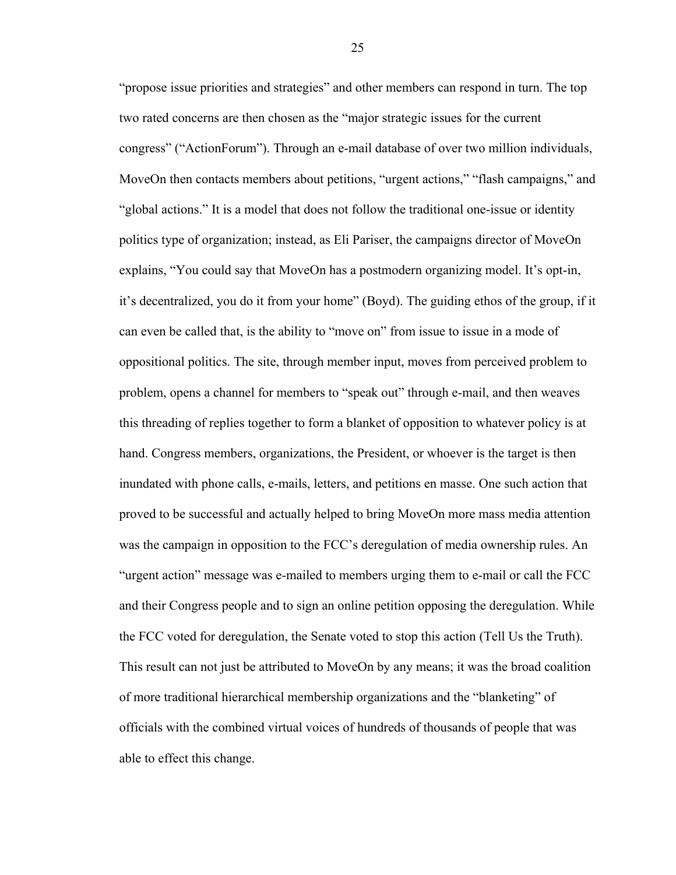"propose issue priorities and strategies" and other members can respond in turn. The top two rated concerns are then chosen as the "major strategic issues for the current congress" ("ActionForum"). Through an e-mail database of over two million individuals, MoveOn then contacts members about petitions, "urgent actions," "flash campaigns," and "global actions." It is a model that does not follow the traditional one-issue or identity politics type of organization; instead, as Eli Pariser, the campaigns director of MoveOn explains, "You could say that MoveOn has a postmodern organizing model. It's opt-in, it's decentralized, you do it from your home" (Boyd). The guiding ethos of the group, if it can even be called that, is the ability to "move on" from issue to issue in a mode of oppositional politics. The site, through member input, moves from perceived problem to problem, opens a channel for members to "speak out" through e-mail, and then weaves this threading of replies together to form a blanket of opposition to whatever policy is at hand. Congress members, organizations, the President, or whoever is the target is then inundated with phone calls, e-mails, letters, and petitions en masse. One such action that proved to be successful and actually helped to bring MoveOn more mass media attention was the campaign in opposition to the FCC's deregulation of media ownership rules. An "urgent action" message was e-mailed to members urging them to e-mail or call the FCC and their Congress people and to sign an online petition opposing the deregulation. While the FCC voted for deregulation, the Senate voted to stop this action (Tell Us the Truth). This result can not just be attributed to MoveOn by any means; it was the broad coalition of more traditional hierarchical membership organizations and the "blanketing" of officials with the combined virtual voices of hundreds of thousands of people that was able to effect this change.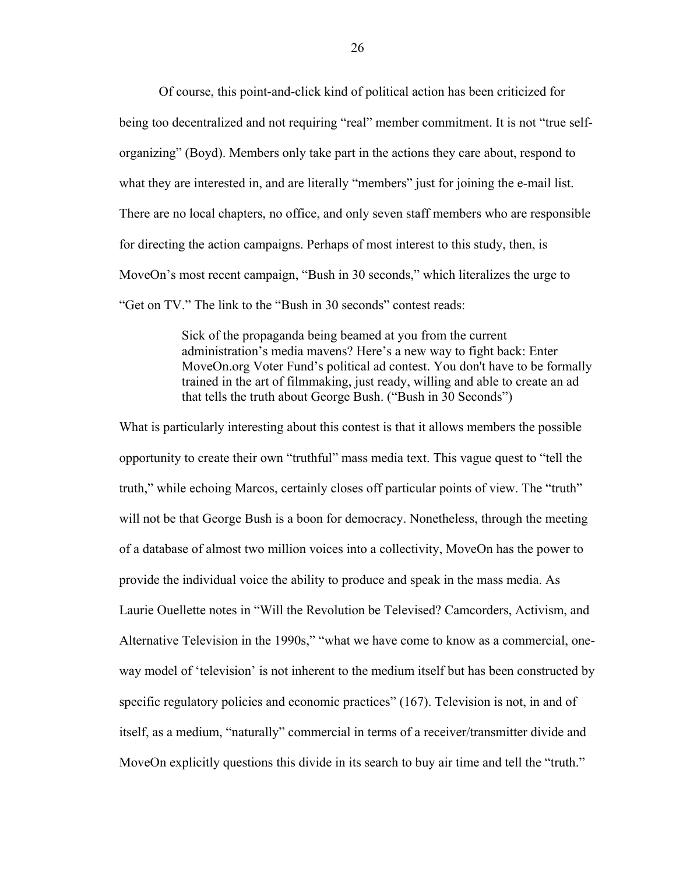Of course, this point-and-click kind of political action has been criticized for being too decentralized and not requiring "real" member commitment. It is not "true selforganizing" (Boyd). Members only take part in the actions they care about, respond to what they are interested in, and are literally "members" just for joining the e-mail list. There are no local chapters, no office, and only seven staff members who are responsible for directing the action campaigns. Perhaps of most interest to this study, then, is MoveOn's most recent campaign, "Bush in 30 seconds," which literalizes the urge to "Get on TV." The link to the "Bush in 30 seconds" contest reads:

> Sick of the propaganda being beamed at you from the current administration's media mavens? Here's a new way to fight back: Enter MoveOn.org Voter Fund's political ad contest. You don't have to be formally trained in the art of filmmaking, just ready, willing and able to create an ad that tells the truth about George Bush. ("Bush in 30 Seconds")

What is particularly interesting about this contest is that it allows members the possible opportunity to create their own "truthful" mass media text. This vague quest to "tell the truth," while echoing Marcos, certainly closes off particular points of view. The "truth" will not be that George Bush is a boon for democracy. Nonetheless, through the meeting of a database of almost two million voices into a collectivity, MoveOn has the power to provide the individual voice the ability to produce and speak in the mass media. As Laurie Ouellette notes in "Will the Revolution be Televised? Camcorders, Activism, and Alternative Television in the 1990s," "what we have come to know as a commercial, oneway model of 'television' is not inherent to the medium itself but has been constructed by specific regulatory policies and economic practices" (167). Television is not, in and of itself, as a medium, "naturally" commercial in terms of a receiver/transmitter divide and MoveOn explicitly questions this divide in its search to buy air time and tell the "truth."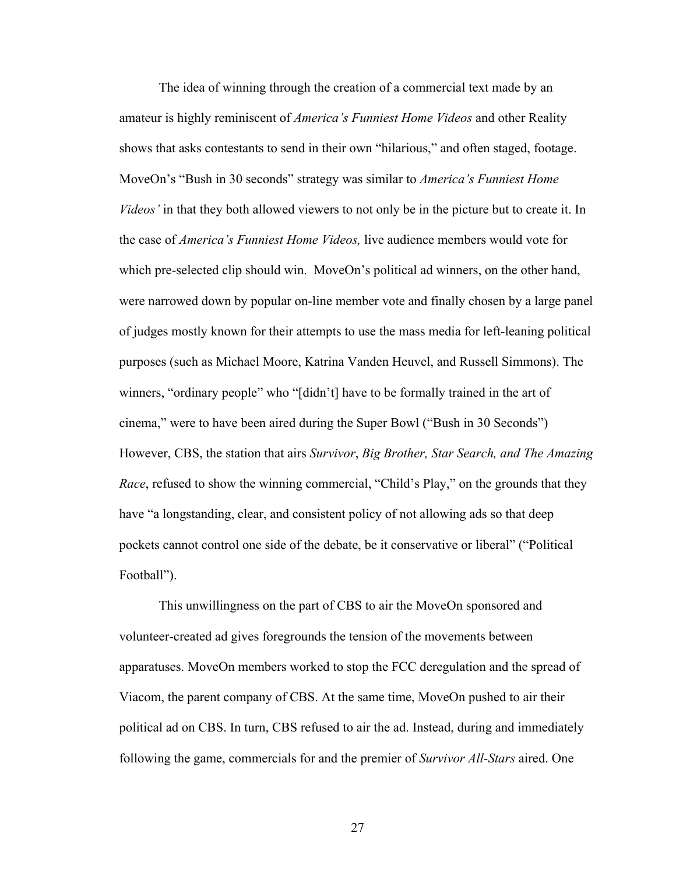The idea of winning through the creation of a commercial text made by an amateur is highly reminiscent of *America's Funniest Home Videos* and other Reality shows that asks contestants to send in their own "hilarious," and often staged, footage. MoveOn's "Bush in 30 seconds" strategy was similar to *America's Funniest Home Videos'* in that they both allowed viewers to not only be in the picture but to create it. In the case of *America's Funniest Home Videos,* live audience members would vote for which pre-selected clip should win. MoveOn's political ad winners, on the other hand, were narrowed down by popular on-line member vote and finally chosen by a large panel of judges mostly known for their attempts to use the mass media for left-leaning political purposes (such as Michael Moore, Katrina Vanden Heuvel, and Russell Simmons). The winners, "ordinary people" who "[didn't] have to be formally trained in the art of cinema," were to have been aired during the Super Bowl ("Bush in 30 Seconds") However, CBS, the station that airs *Survivor*, *Big Brother, Star Search, and The Amazing Race*, refused to show the winning commercial, "Child's Play," on the grounds that they have "a longstanding, clear, and consistent policy of not allowing ads so that deep pockets cannot control one side of the debate, be it conservative or liberal" ("Political Football").

This unwillingness on the part of CBS to air the MoveOn sponsored and volunteer-created ad gives foregrounds the tension of the movements between apparatuses. MoveOn members worked to stop the FCC deregulation and the spread of Viacom, the parent company of CBS. At the same time, MoveOn pushed to air their political ad on CBS. In turn, CBS refused to air the ad. Instead, during and immediately following the game, commercials for and the premier of *Survivor All-Stars* aired. One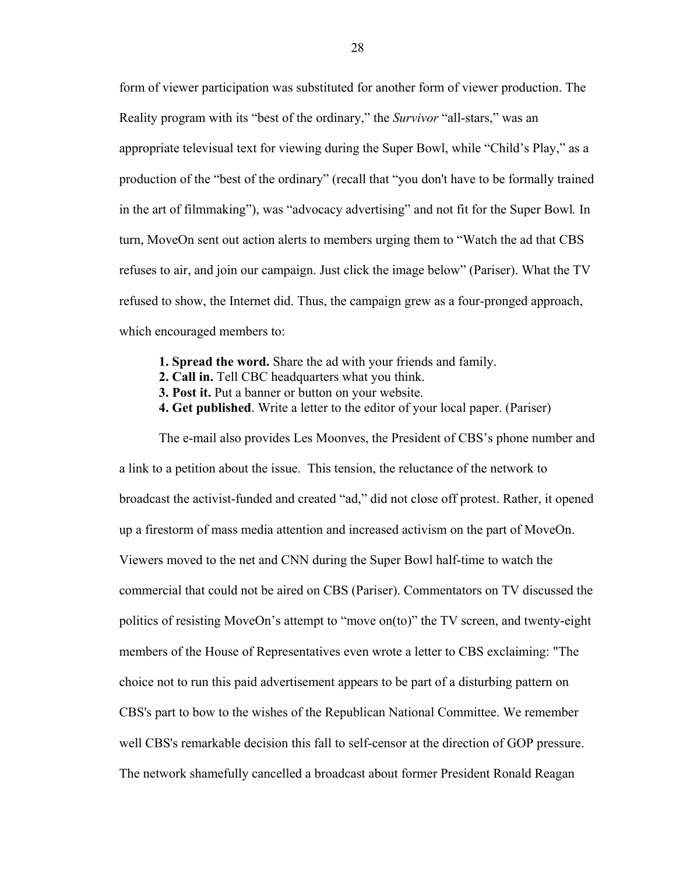form of viewer participation was substituted for another form of viewer production. The Reality program with its "best of the ordinary," the *Survivor* "all-stars," was an appropriate televisual text for viewing during the Super Bowl, while "Child's Play," as a production of the "best of the ordinary" (recall that "you don't have to be formally trained in the art of filmmaking"), was "advocacy advertising" and not fit for the Super Bowl*.* In turn, MoveOn sent out action alerts to members urging them to "Watch the ad that CBS refuses to air, and join our campaign. Just click the image below" (Pariser). What the TV refused to show, the Internet did. Thus, the campaign grew as a four-pronged approach, which encouraged members to:

- **1. Spread the word.** Share the ad with your friends and family.
- **2. Call in.** Tell CBC headquarters what you think.
- **3. Post it.** Put a banner or button on your website.
- **4. Get published**. Write a letter to the editor of your local paper. (Pariser)

The e-mail also provides Les Moonves, the President of CBS's phone number and a link to a petition about the issue. This tension, the reluctance of the network to broadcast the activist-funded and created "ad," did not close off protest. Rather, it opened up a firestorm of mass media attention and increased activism on the part of MoveOn. Viewers moved to the net and CNN during the Super Bowl half-time to watch the commercial that could not be aired on CBS (Pariser). Commentators on TV discussed the politics of resisting MoveOn's attempt to "move on(to)" the TV screen, and twenty-eight members of the House of Representatives even wrote a letter to CBS exclaiming: "The choice not to run this paid advertisement appears to be part of a disturbing pattern on CBS's part to bow to the wishes of the Republican National Committee. We remember well CBS's remarkable decision this fall to self-censor at the direction of GOP pressure. The network shamefully cancelled a broadcast about former President Ronald Reagan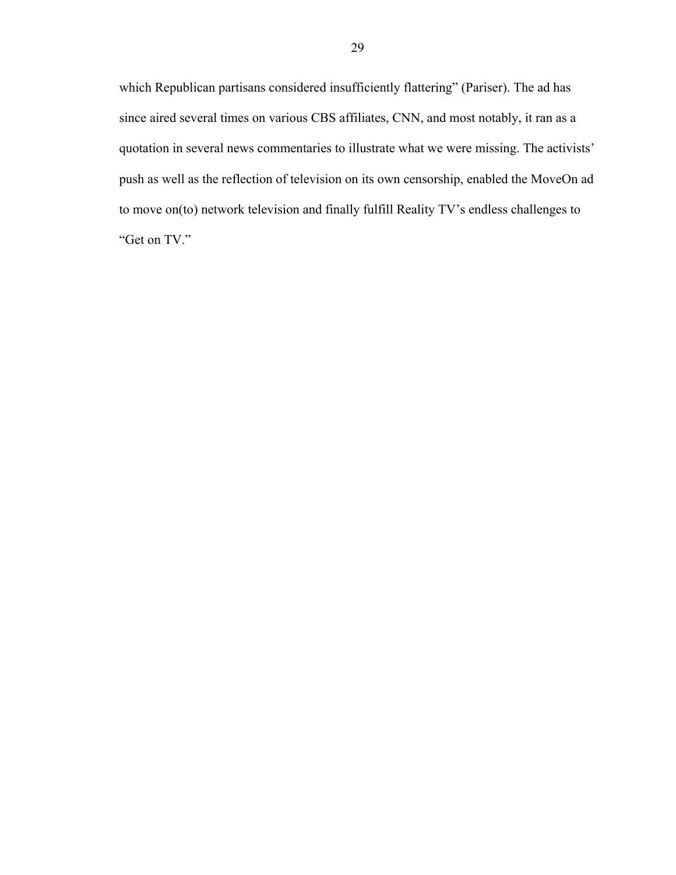which Republican partisans considered insufficiently flattering" (Pariser). The ad has since aired several times on various CBS affiliates, CNN, and most notably, it ran as a quotation in several news commentaries to illustrate what we were missing. The activists' push as well as the reflection of television on its own censorship, enabled the MoveOn ad to move on(to) network television and finally fulfill Reality TV's endless challenges to "Get on TV."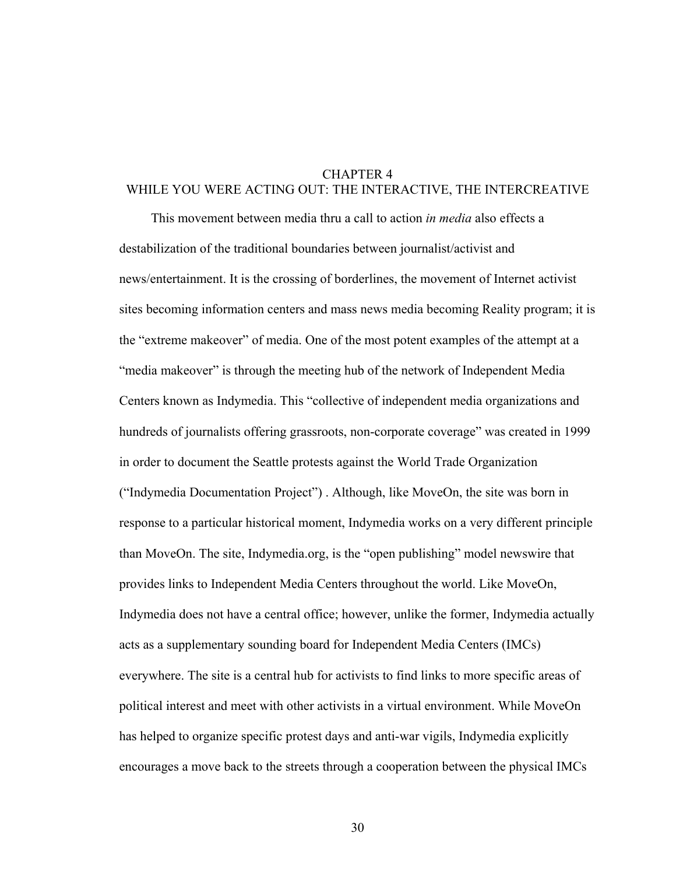#### <span id="page-35-0"></span>CHAPTER 4 WHILE YOU WERE ACTING OUT: THE INTERACTIVE, THE INTERCREATIVE

This movement between media thru a call to action *in media* also effects a destabilization of the traditional boundaries between journalist/activist and news/entertainment. It is the crossing of borderlines, the movement of Internet activist sites becoming information centers and mass news media becoming Reality program; it is the "extreme makeover" of media. One of the most potent examples of the attempt at a "media makeover" is through the meeting hub of the network of Independent Media Centers known as Indymedia. This "collective of independent media organizations and hundreds of journalists offering grassroots, non-corporate coverage" was created in 1999 in order to document the Seattle protests against the World Trade Organization ("Indymedia Documentation Project") . Although, like MoveOn, the site was born in response to a particular historical moment, Indymedia works on a very different principle than MoveOn. The site, Indymedia.org, is the "open publishing" model newswire that provides links to Independent Media Centers throughout the world. Like MoveOn, Indymedia does not have a central office; however, unlike the former, Indymedia actually acts as a supplementary sounding board for Independent Media Centers (IMCs) everywhere. The site is a central hub for activists to find links to more specific areas of political interest and meet with other activists in a virtual environment. While MoveOn has helped to organize specific protest days and anti-war vigils, Indymedia explicitly encourages a move back to the streets through a cooperation between the physical IMCs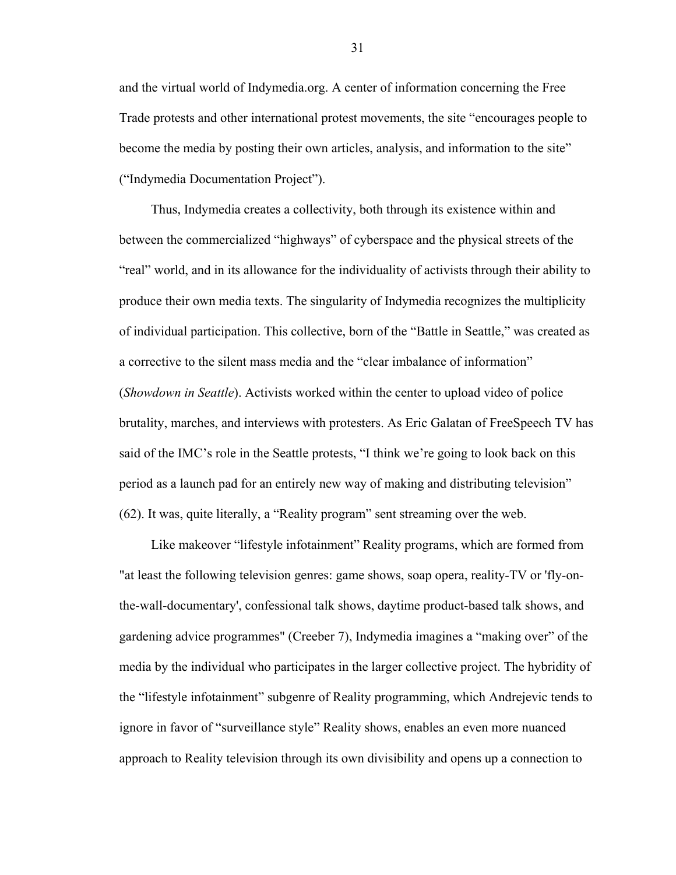and the virtual world of Indymedia.org. A center of information concerning the Free Trade protests and other international protest movements, the site "encourages people to become the media by posting their own articles, analysis, and information to the site" ("Indymedia Documentation Project").

Thus, Indymedia creates a collectivity, both through its existence within and between the commercialized "highways" of cyberspace and the physical streets of the "real" world, and in its allowance for the individuality of activists through their ability to produce their own media texts. The singularity of Indymedia recognizes the multiplicity of individual participation. This collective, born of the "Battle in Seattle," was created as a corrective to the silent mass media and the "clear imbalance of information" (*Showdown in Seattle*). Activists worked within the center to upload video of police brutality, marches, and interviews with protesters. As Eric Galatan of FreeSpeech TV has said of the IMC's role in the Seattle protests, "I think we're going to look back on this period as a launch pad for an entirely new way of making and distributing television" (62). It was, quite literally, a "Reality program" sent streaming over the web.

Like makeover "lifestyle infotainment" Reality programs, which are formed from "at least the following television genres: game shows, soap opera, reality-TV or 'fly-onthe-wall-documentary', confessional talk shows, daytime product-based talk shows, and gardening advice programmes" (Creeber 7), Indymedia imagines a "making over" of the media by the individual who participates in the larger collective project. The hybridity of the "lifestyle infotainment" subgenre of Reality programming, which Andrejevic tends to ignore in favor of "surveillance style" Reality shows, enables an even more nuanced approach to Reality television through its own divisibility and opens up a connection to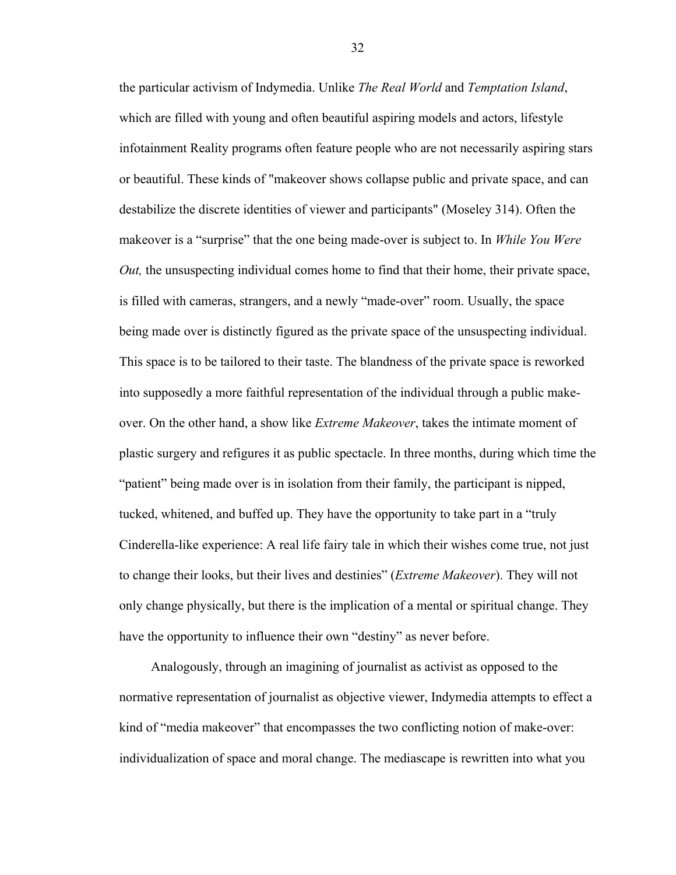the particular activism of Indymedia. Unlike *The Real World* and *Temptation Island*, which are filled with young and often beautiful aspiring models and actors, lifestyle infotainment Reality programs often feature people who are not necessarily aspiring stars or beautiful. These kinds of "makeover shows collapse public and private space, and can destabilize the discrete identities of viewer and participants" (Moseley 314). Often the makeover is a "surprise" that the one being made-over is subject to. In *While You Were Out*, the unsuspecting individual comes home to find that their home, their private space, is filled with cameras, strangers, and a newly "made-over" room. Usually, the space being made over is distinctly figured as the private space of the unsuspecting individual. This space is to be tailored to their taste. The blandness of the private space is reworked into supposedly a more faithful representation of the individual through a public makeover. On the other hand, a show like *Extreme Makeover*, takes the intimate moment of plastic surgery and refigures it as public spectacle. In three months, during which time the "patient" being made over is in isolation from their family, the participant is nipped, tucked, whitened, and buffed up. They have the opportunity to take part in a "truly Cinderella-like experience: A real life fairy tale in which their wishes come true, not just to change their looks, but their lives and destinies" (*Extreme Makeover*). They will not only change physically, but there is the implication of a mental or spiritual change. They have the opportunity to influence their own "destiny" as never before.

Analogously, through an imagining of journalist as activist as opposed to the normative representation of journalist as objective viewer, Indymedia attempts to effect a kind of "media makeover" that encompasses the two conflicting notion of make-over: individualization of space and moral change. The mediascape is rewritten into what you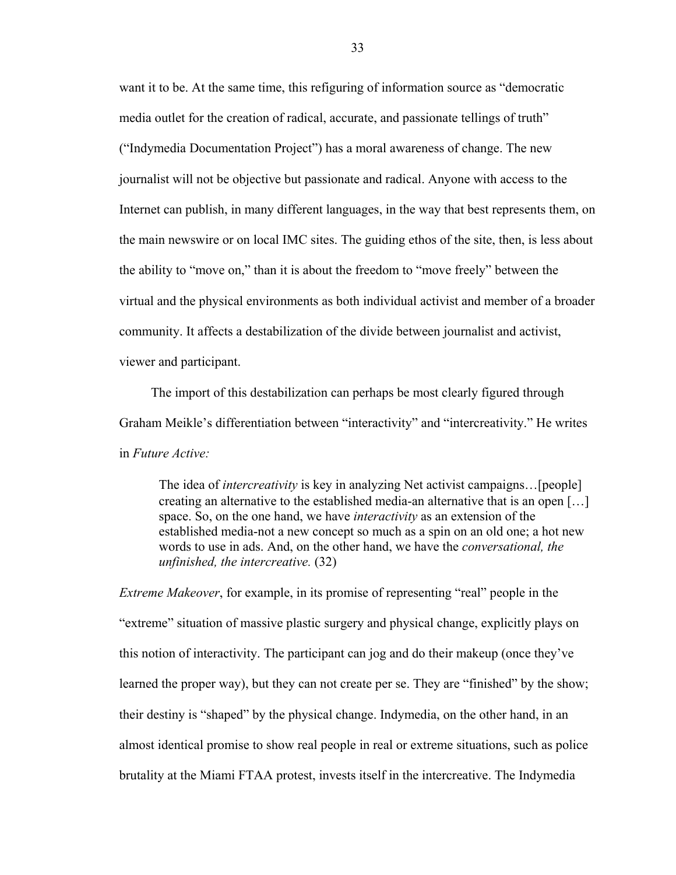want it to be. At the same time, this refiguring of information source as "democratic media outlet for the creation of radical, accurate, and passionate tellings of truth" ("Indymedia Documentation Project") has a moral awareness of change. The new journalist will not be objective but passionate and radical. Anyone with access to the Internet can publish, in many different languages, in the way that best represents them, on the main newswire or on local IMC sites. The guiding ethos of the site, then, is less about the ability to "move on," than it is about the freedom to "move freely" between the virtual and the physical environments as both individual activist and member of a broader community. It affects a destabilization of the divide between journalist and activist, viewer and participant.

The import of this destabilization can perhaps be most clearly figured through Graham Meikle's differentiation between "interactivity" and "intercreativity." He writes in *Future Active:*

The idea of *intercreativity* is key in analyzing Net activist campaigns…[people] creating an alternative to the established media-an alternative that is an open […] space. So, on the one hand, we have *interactivity* as an extension of the established media-not a new concept so much as a spin on an old one; a hot new words to use in ads. And, on the other hand, we have the *conversational, the unfinished, the intercreative.* (32)

*Extreme Makeover*, for example, in its promise of representing "real" people in the "extreme" situation of massive plastic surgery and physical change, explicitly plays on this notion of interactivity. The participant can jog and do their makeup (once they've learned the proper way), but they can not create per se. They are "finished" by the show; their destiny is "shaped" by the physical change. Indymedia, on the other hand, in an almost identical promise to show real people in real or extreme situations, such as police brutality at the Miami FTAA protest, invests itself in the intercreative. The Indymedia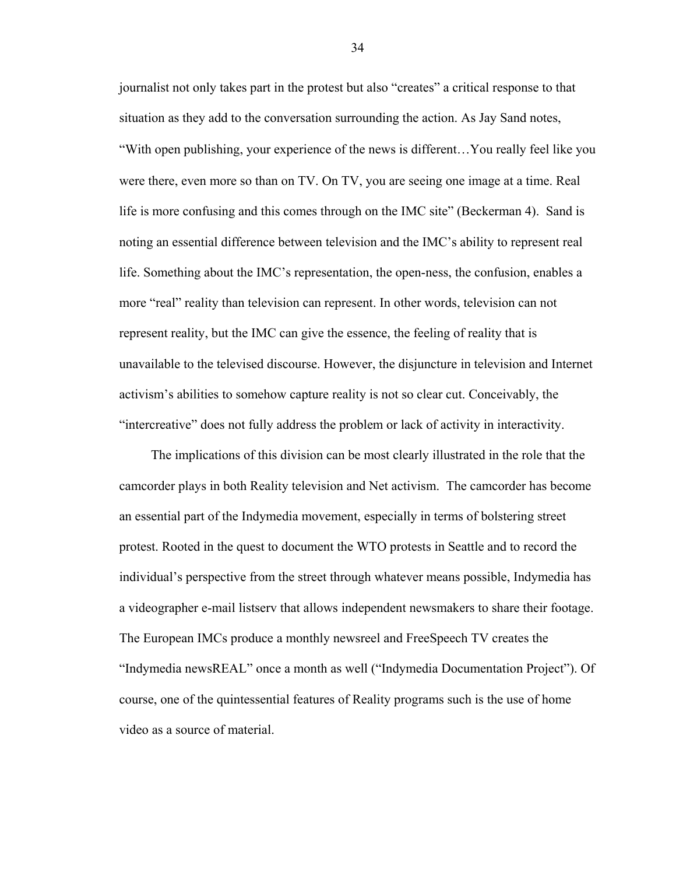journalist not only takes part in the protest but also "creates" a critical response to that situation as they add to the conversation surrounding the action. As Jay Sand notes, "With open publishing, your experience of the news is different…You really feel like you were there, even more so than on TV. On TV, you are seeing one image at a time. Real life is more confusing and this comes through on the IMC site" (Beckerman 4). Sand is noting an essential difference between television and the IMC's ability to represent real life. Something about the IMC's representation, the open-ness, the confusion, enables a more "real" reality than television can represent. In other words, television can not represent reality, but the IMC can give the essence, the feeling of reality that is unavailable to the televised discourse. However, the disjuncture in television and Internet activism's abilities to somehow capture reality is not so clear cut. Conceivably, the "intercreative" does not fully address the problem or lack of activity in interactivity.

The implications of this division can be most clearly illustrated in the role that the camcorder plays in both Reality television and Net activism. The camcorder has become an essential part of the Indymedia movement, especially in terms of bolstering street protest. Rooted in the quest to document the WTO protests in Seattle and to record the individual's perspective from the street through whatever means possible, Indymedia has a videographer e-mail listserv that allows independent newsmakers to share their footage. The European IMCs produce a monthly newsreel and FreeSpeech TV creates the "Indymedia newsREAL" once a month as well ("Indymedia Documentation Project"). Of course, one of the quintessential features of Reality programs such is the use of home video as a source of material.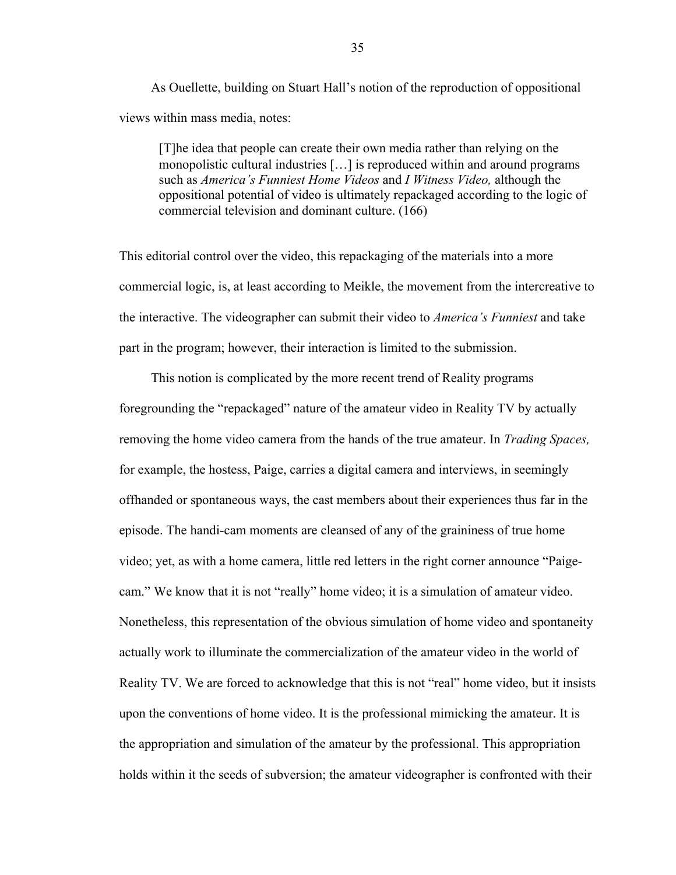As Ouellette, building on Stuart Hall's notion of the reproduction of oppositional views within mass media, notes:

[T]he idea that people can create their own media rather than relying on the monopolistic cultural industries […] is reproduced within and around programs such as *America's Funniest Home Videos* and *I Witness Video,* although the oppositional potential of video is ultimately repackaged according to the logic of commercial television and dominant culture. (166)

This editorial control over the video, this repackaging of the materials into a more commercial logic, is, at least according to Meikle, the movement from the intercreative to the interactive. The videographer can submit their video to *America's Funniest* and take part in the program; however, their interaction is limited to the submission.

This notion is complicated by the more recent trend of Reality programs foregrounding the "repackaged" nature of the amateur video in Reality TV by actually removing the home video camera from the hands of the true amateur. In *Trading Spaces,*  for example, the hostess, Paige, carries a digital camera and interviews, in seemingly offhanded or spontaneous ways, the cast members about their experiences thus far in the episode. The handi-cam moments are cleansed of any of the graininess of true home video; yet, as with a home camera, little red letters in the right corner announce "Paigecam." We know that it is not "really" home video; it is a simulation of amateur video. Nonetheless, this representation of the obvious simulation of home video and spontaneity actually work to illuminate the commercialization of the amateur video in the world of Reality TV. We are forced to acknowledge that this is not "real" home video, but it insists upon the conventions of home video. It is the professional mimicking the amateur. It is the appropriation and simulation of the amateur by the professional. This appropriation holds within it the seeds of subversion; the amateur videographer is confronted with their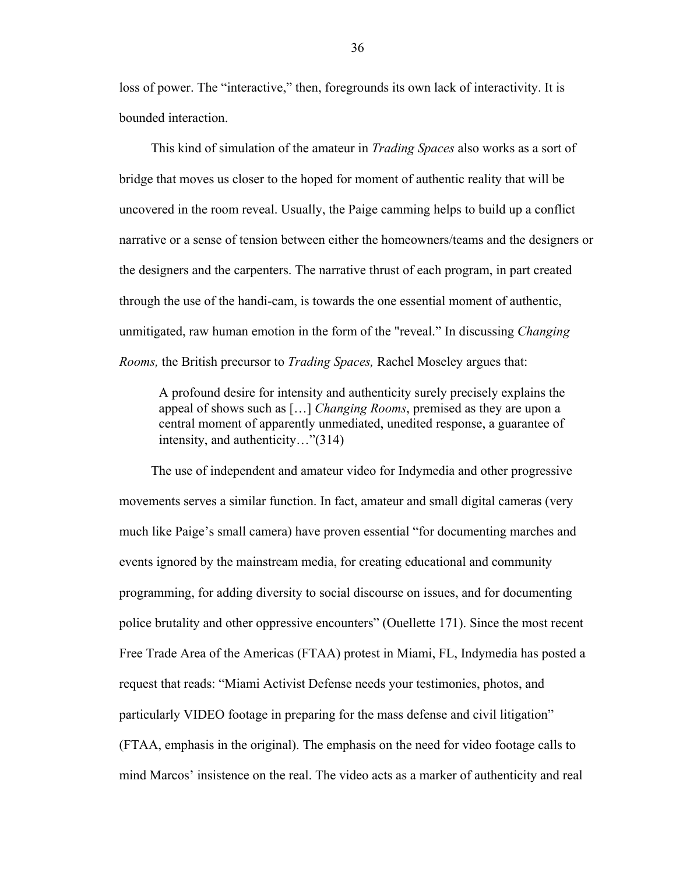loss of power. The "interactive," then, foregrounds its own lack of interactivity. It is bounded interaction.

This kind of simulation of the amateur in *Trading Spaces* also works as a sort of bridge that moves us closer to the hoped for moment of authentic reality that will be uncovered in the room reveal. Usually, the Paige camming helps to build up a conflict narrative or a sense of tension between either the homeowners/teams and the designers or the designers and the carpenters. The narrative thrust of each program, in part created through the use of the handi-cam, is towards the one essential moment of authentic, unmitigated, raw human emotion in the form of the "reveal." In discussing *Changing Rooms,* the British precursor to *Trading Spaces,* Rachel Moseley argues that:

A profound desire for intensity and authenticity surely precisely explains the appeal of shows such as […] *Changing Rooms*, premised as they are upon a central moment of apparently unmediated, unedited response, a guarantee of intensity, and authenticity…"(314)

The use of independent and amateur video for Indymedia and other progressive movements serves a similar function. In fact, amateur and small digital cameras (very much like Paige's small camera) have proven essential "for documenting marches and events ignored by the mainstream media, for creating educational and community programming, for adding diversity to social discourse on issues, and for documenting police brutality and other oppressive encounters" (Ouellette 171). Since the most recent Free Trade Area of the Americas (FTAA) protest in Miami, FL, Indymedia has posted a request that reads: "Miami Activist Defense needs your testimonies, photos, and particularly VIDEO footage in preparing for the mass defense and civil litigation" (FTAA, emphasis in the original). The emphasis on the need for video footage calls to mind Marcos' insistence on the real. The video acts as a marker of authenticity and real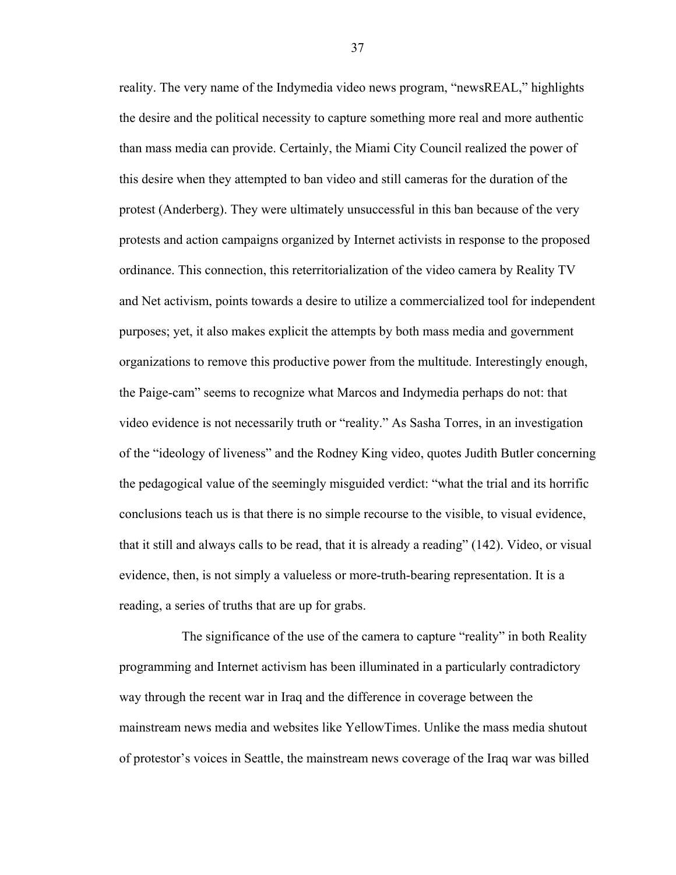reality. The very name of the Indymedia video news program, "newsREAL," highlights the desire and the political necessity to capture something more real and more authentic than mass media can provide. Certainly, the Miami City Council realized the power of this desire when they attempted to ban video and still cameras for the duration of the protest (Anderberg). They were ultimately unsuccessful in this ban because of the very protests and action campaigns organized by Internet activists in response to the proposed ordinance. This connection, this reterritorialization of the video camera by Reality TV and Net activism, points towards a desire to utilize a commercialized tool for independent purposes; yet, it also makes explicit the attempts by both mass media and government organizations to remove this productive power from the multitude. Interestingly enough, the Paige-cam" seems to recognize what Marcos and Indymedia perhaps do not: that video evidence is not necessarily truth or "reality." As Sasha Torres, in an investigation of the "ideology of liveness" and the Rodney King video, quotes Judith Butler concerning the pedagogical value of the seemingly misguided verdict: "what the trial and its horrific conclusions teach us is that there is no simple recourse to the visible, to visual evidence, that it still and always calls to be read, that it is already a reading" (142). Video, or visual evidence, then, is not simply a valueless or more-truth-bearing representation. It is a reading, a series of truths that are up for grabs.

The significance of the use of the camera to capture "reality" in both Reality programming and Internet activism has been illuminated in a particularly contradictory way through the recent war in Iraq and the difference in coverage between the mainstream news media and websites like YellowTimes. Unlike the mass media shutout of protestor's voices in Seattle, the mainstream news coverage of the Iraq war was billed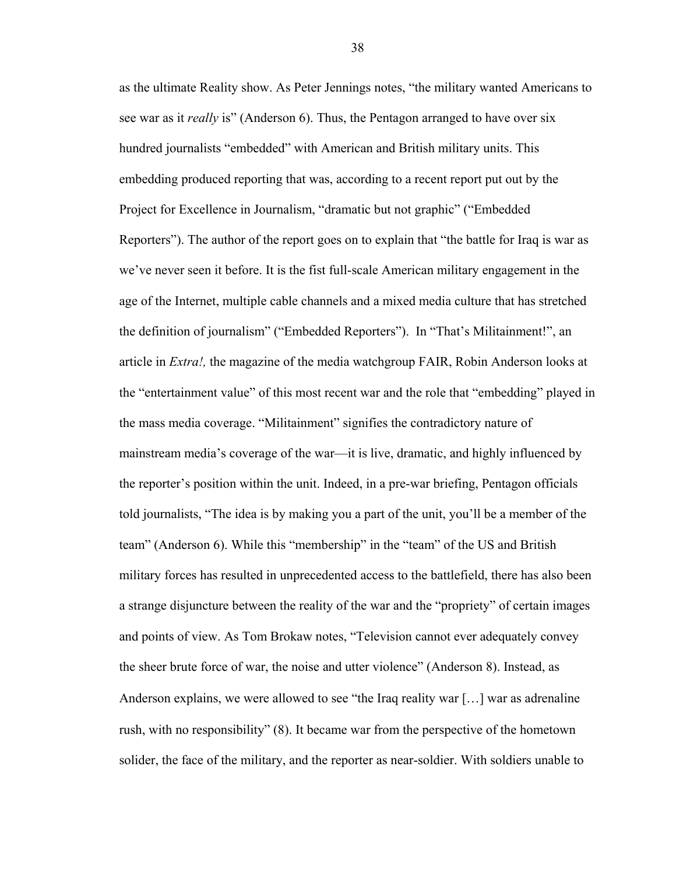as the ultimate Reality show. As Peter Jennings notes, "the military wanted Americans to see war as it *really* is" (Anderson 6). Thus, the Pentagon arranged to have over six hundred journalists "embedded" with American and British military units. This embedding produced reporting that was, according to a recent report put out by the Project for Excellence in Journalism, "dramatic but not graphic" ("Embedded Reporters"). The author of the report goes on to explain that "the battle for Iraq is war as we've never seen it before. It is the fist full-scale American military engagement in the age of the Internet, multiple cable channels and a mixed media culture that has stretched the definition of journalism" ("Embedded Reporters"). In "That's Militainment!", an article in *Extra!,* the magazine of the media watchgroup FAIR, Robin Anderson looks at the "entertainment value" of this most recent war and the role that "embedding" played in the mass media coverage. "Militainment" signifies the contradictory nature of mainstream media's coverage of the war—it is live, dramatic, and highly influenced by the reporter's position within the unit. Indeed, in a pre-war briefing, Pentagon officials told journalists, "The idea is by making you a part of the unit, you'll be a member of the team" (Anderson 6). While this "membership" in the "team" of the US and British military forces has resulted in unprecedented access to the battlefield, there has also been a strange disjuncture between the reality of the war and the "propriety" of certain images and points of view. As Tom Brokaw notes, "Television cannot ever adequately convey the sheer brute force of war, the noise and utter violence" (Anderson 8). Instead, as Anderson explains, we were allowed to see "the Iraq reality war […] war as adrenaline rush, with no responsibility" (8). It became war from the perspective of the hometown solider, the face of the military, and the reporter as near-soldier. With soldiers unable to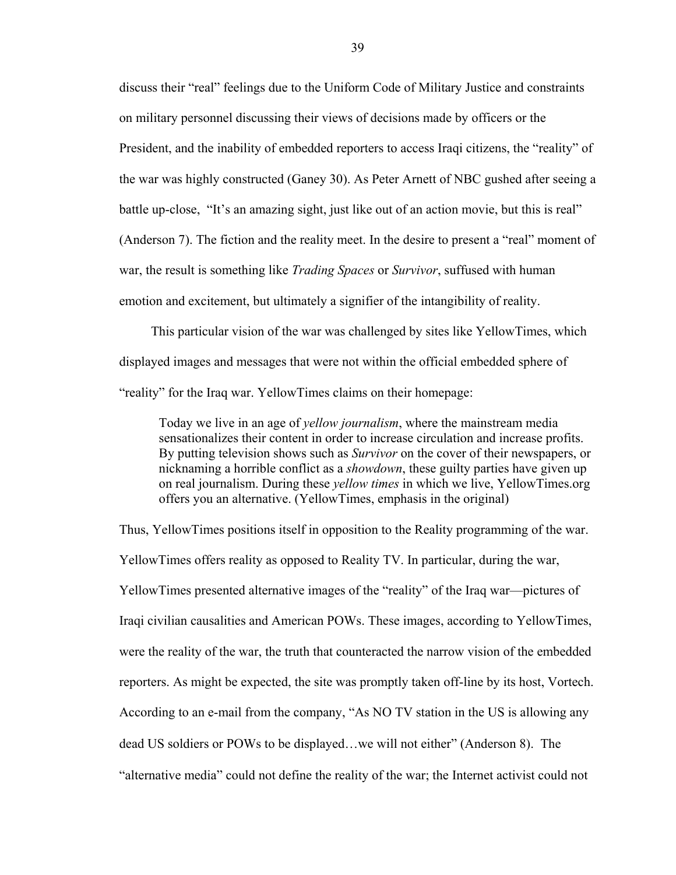discuss their "real" feelings due to the Uniform Code of Military Justice and constraints on military personnel discussing their views of decisions made by officers or the President, and the inability of embedded reporters to access Iraqi citizens, the "reality" of the war was highly constructed (Ganey 30). As Peter Arnett of NBC gushed after seeing a battle up-close, "It's an amazing sight, just like out of an action movie, but this is real" (Anderson 7). The fiction and the reality meet. In the desire to present a "real" moment of war, the result is something like *Trading Spaces* or *Survivor*, suffused with human emotion and excitement, but ultimately a signifier of the intangibility of reality.

This particular vision of the war was challenged by sites like YellowTimes, which displayed images and messages that were not within the official embedded sphere of "reality" for the Iraq war. YellowTimes claims on their homepage:

Today we live in an age of *yellow journalism*, where the mainstream media sensationalizes their content in order to increase circulation and increase profits. By putting television shows such as *Survivor* on the cover of their newspapers, or nicknaming a horrible conflict as a *showdown*, these guilty parties have given up on real journalism. During these *yellow times* in which we live, YellowTimes.org offers you an alternative. (YellowTimes, emphasis in the original)

Thus, YellowTimes positions itself in opposition to the Reality programming of the war. YellowTimes offers reality as opposed to Reality TV. In particular, during the war, YellowTimes presented alternative images of the "reality" of the Iraq war—pictures of Iraqi civilian causalities and American POWs. These images, according to YellowTimes, were the reality of the war, the truth that counteracted the narrow vision of the embedded reporters. As might be expected, the site was promptly taken off-line by its host, Vortech. According to an e-mail from the company, "As NO TV station in the US is allowing any dead US soldiers or POWs to be displayed…we will not either" (Anderson 8). The "alternative media" could not define the reality of the war; the Internet activist could not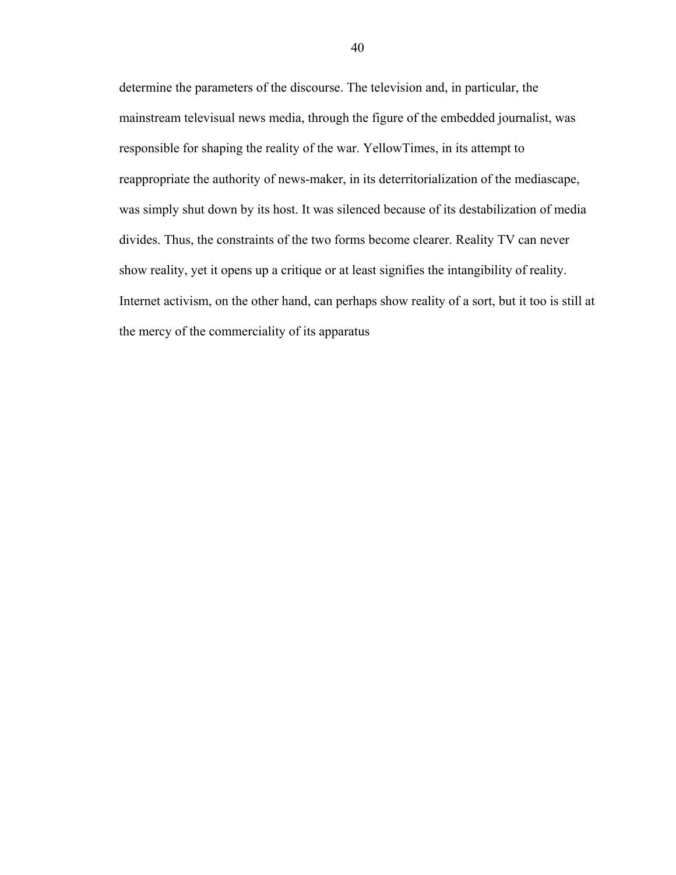determine the parameters of the discourse. The television and, in particular, the mainstream televisual news media, through the figure of the embedded journalist, was responsible for shaping the reality of the war. YellowTimes, in its attempt to reappropriate the authority of news-maker, in its deterritorialization of the mediascape, was simply shut down by its host. It was silenced because of its destabilization of media divides. Thus, the constraints of the two forms become clearer. Reality TV can never show reality, yet it opens up a critique or at least signifies the intangibility of reality. Internet activism, on the other hand, can perhaps show reality of a sort, but it too is still at the mercy of the commerciality of its apparatus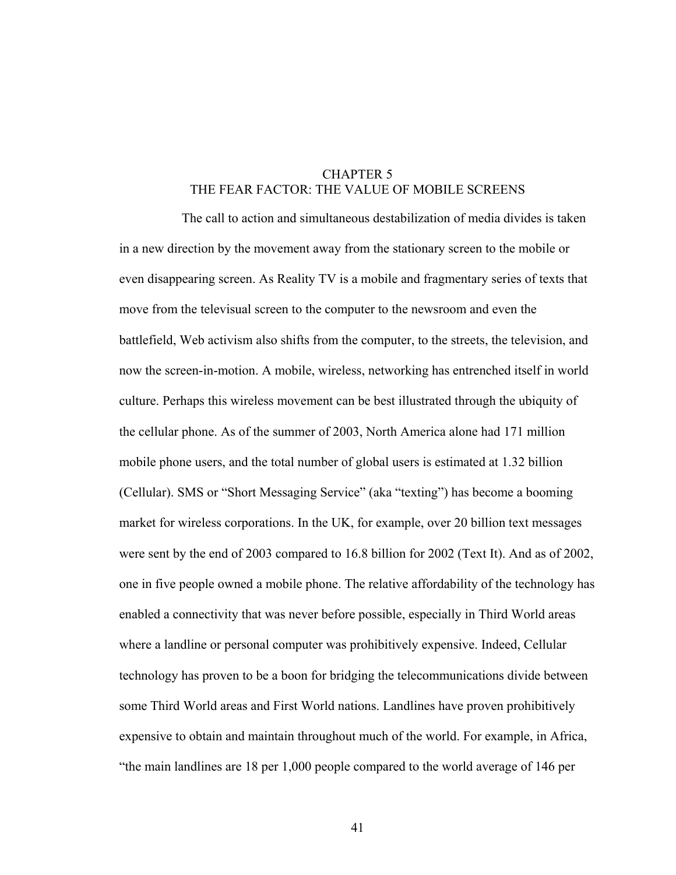## CHAPTER 5 THE FEAR FACTOR: THE VALUE OF MOBILE SCREENS

<span id="page-46-0"></span>The call to action and simultaneous destabilization of media divides is taken in a new direction by the movement away from the stationary screen to the mobile or even disappearing screen. As Reality TV is a mobile and fragmentary series of texts that move from the televisual screen to the computer to the newsroom and even the battlefield, Web activism also shifts from the computer, to the streets, the television, and now the screen-in-motion. A mobile, wireless, networking has entrenched itself in world culture. Perhaps this wireless movement can be best illustrated through the ubiquity of the cellular phone. As of the summer of 2003, North America alone had 171 million mobile phone users, and the total number of global users is estimated at 1.32 billion (Cellular). SMS or "Short Messaging Service" (aka "texting") has become a booming market for wireless corporations. In the UK, for example, over 20 billion text messages were sent by the end of 2003 compared to 16.8 billion for 2002 (Text It). And as of 2002, one in five people owned a mobile phone. The relative affordability of the technology has enabled a connectivity that was never before possible, especially in Third World areas where a landline or personal computer was prohibitively expensive. Indeed, Cellular technology has proven to be a boon for bridging the telecommunications divide between some Third World areas and First World nations. Landlines have proven prohibitively expensive to obtain and maintain throughout much of the world. For example, in Africa, "the main landlines are 18 per 1,000 people compared to the world average of 146 per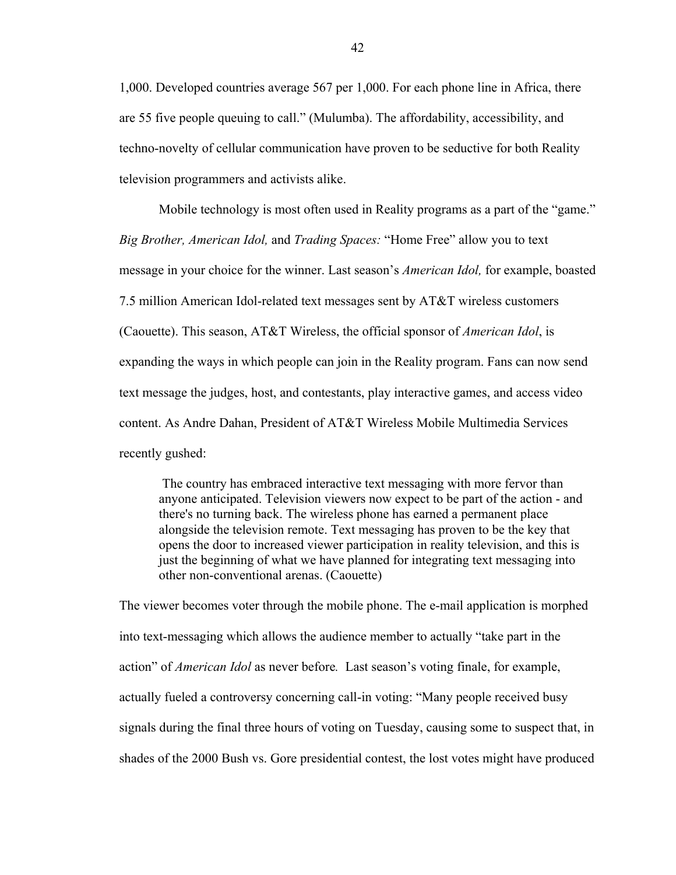1,000. Developed countries average 567 per 1,000. For each phone line in Africa, there are 55 five people queuing to call." (Mulumba). The affordability, accessibility, and techno-novelty of cellular communication have proven to be seductive for both Reality television programmers and activists alike.

Mobile technology is most often used in Reality programs as a part of the "game." *Big Brother, American Idol,* and *Trading Spaces:* "Home Free" allow you to text message in your choice for the winner. Last season's *American Idol,* for example, boasted 7.5 million American Idol-related text messages sent by AT&T wireless customers (Caouette). This season, AT&T Wireless, the official sponsor of *American Idol*, is expanding the ways in which people can join in the Reality program. Fans can now send text message the judges, host, and contestants, play interactive games, and access video content. As Andre Dahan, President of AT&T Wireless Mobile Multimedia Services recently gushed:

The country has embraced interactive text messaging with more fervor than anyone anticipated. Television viewers now expect to be part of the action - and there's no turning back. The wireless phone has earned a permanent place alongside the television remote. Text messaging has proven to be the key that opens the door to increased viewer participation in reality television, and this is just the beginning of what we have planned for integrating text messaging into other non-conventional arenas. (Caouette)

The viewer becomes voter through the mobile phone. The e-mail application is morphed into text-messaging which allows the audience member to actually "take part in the action" of *American Idol* as never before*.* Last season's voting finale, for example, actually fueled a controversy concerning call-in voting: "Many people received busy signals during the final three hours of voting on Tuesday, causing some to suspect that, in shades of the 2000 Bush vs. Gore presidential contest, the lost votes might have produced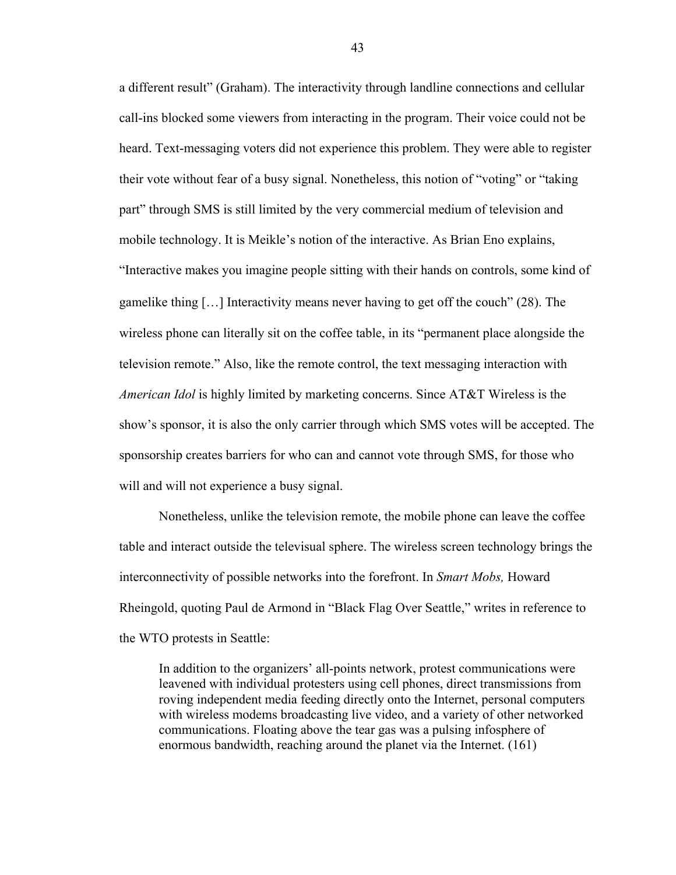a different result" (Graham). The interactivity through landline connections and cellular call-ins blocked some viewers from interacting in the program. Their voice could not be heard. Text-messaging voters did not experience this problem. They were able to register their vote without fear of a busy signal. Nonetheless, this notion of "voting" or "taking part" through SMS is still limited by the very commercial medium of television and mobile technology. It is Meikle's notion of the interactive. As Brian Eno explains, "Interactive makes you imagine people sitting with their hands on controls, some kind of gamelike thing […] Interactivity means never having to get off the couch" (28). The wireless phone can literally sit on the coffee table, in its "permanent place alongside the television remote." Also, like the remote control, the text messaging interaction with *American Idol* is highly limited by marketing concerns. Since AT&T Wireless is the show's sponsor, it is also the only carrier through which SMS votes will be accepted. The sponsorship creates barriers for who can and cannot vote through SMS, for those who will and will not experience a busy signal.

Nonetheless, unlike the television remote, the mobile phone can leave the coffee table and interact outside the televisual sphere. The wireless screen technology brings the interconnectivity of possible networks into the forefront. In *Smart Mobs,* Howard Rheingold, quoting Paul de Armond in "Black Flag Over Seattle," writes in reference to the WTO protests in Seattle:

In addition to the organizers' all-points network, protest communications were leavened with individual protesters using cell phones, direct transmissions from roving independent media feeding directly onto the Internet, personal computers with wireless modems broadcasting live video, and a variety of other networked communications. Floating above the tear gas was a pulsing infosphere of enormous bandwidth, reaching around the planet via the Internet. (161)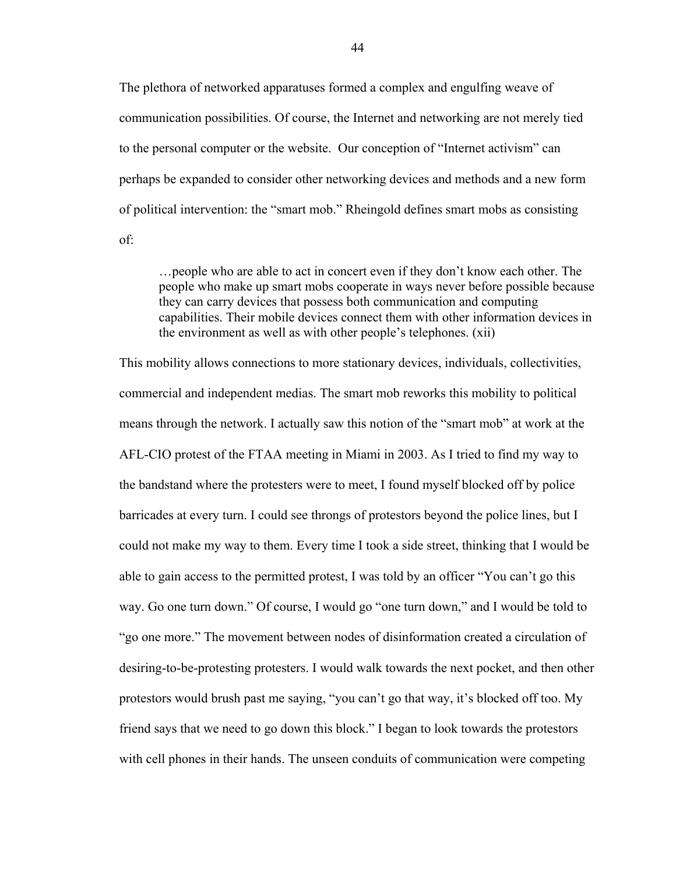The plethora of networked apparatuses formed a complex and engulfing weave of communication possibilities. Of course, the Internet and networking are not merely tied to the personal computer or the website. Our conception of "Internet activism" can perhaps be expanded to consider other networking devices and methods and a new form of political intervention: the "smart mob." Rheingold defines smart mobs as consisting of:

…people who are able to act in concert even if they don't know each other. The people who make up smart mobs cooperate in ways never before possible because they can carry devices that possess both communication and computing capabilities. Their mobile devices connect them with other information devices in the environment as well as with other people's telephones. (xii)

This mobility allows connections to more stationary devices, individuals, collectivities, commercial and independent medias. The smart mob reworks this mobility to political means through the network. I actually saw this notion of the "smart mob" at work at the AFL-CIO protest of the FTAA meeting in Miami in 2003. As I tried to find my way to the bandstand where the protesters were to meet, I found myself blocked off by police barricades at every turn. I could see throngs of protestors beyond the police lines, but I could not make my way to them. Every time I took a side street, thinking that I would be able to gain access to the permitted protest, I was told by an officer "You can't go this way. Go one turn down." Of course, I would go "one turn down," and I would be told to "go one more." The movement between nodes of disinformation created a circulation of desiring-to-be-protesting protesters. I would walk towards the next pocket, and then other protestors would brush past me saying, "you can't go that way, it's blocked off too. My friend says that we need to go down this block." I began to look towards the protestors with cell phones in their hands. The unseen conduits of communication were competing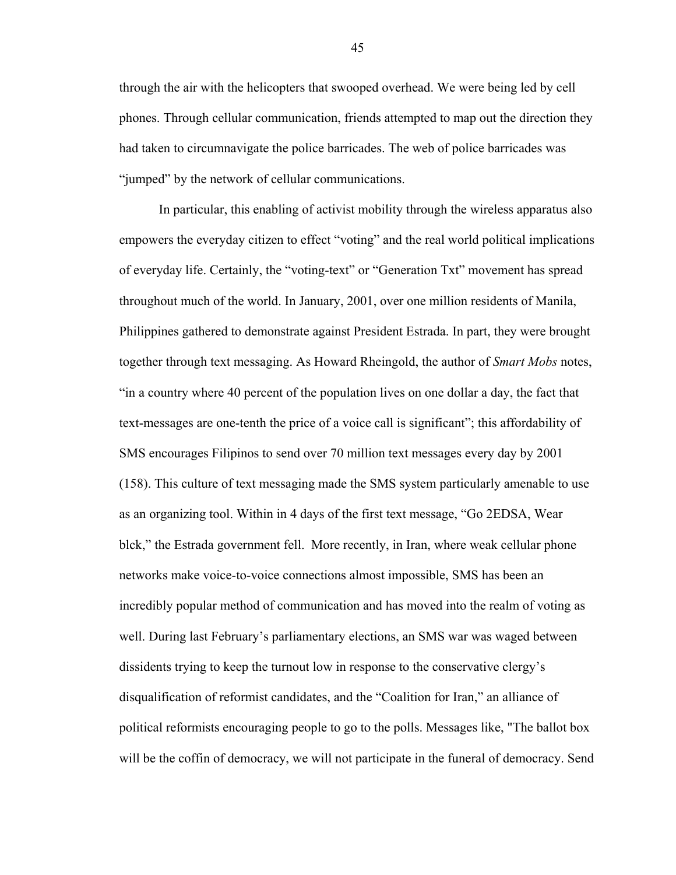through the air with the helicopters that swooped overhead. We were being led by cell phones. Through cellular communication, friends attempted to map out the direction they had taken to circumnavigate the police barricades. The web of police barricades was "jumped" by the network of cellular communications.

In particular, this enabling of activist mobility through the wireless apparatus also empowers the everyday citizen to effect "voting" and the real world political implications of everyday life. Certainly, the "voting-text" or "Generation Txt" movement has spread throughout much of the world. In January, 2001, over one million residents of Manila, Philippines gathered to demonstrate against President Estrada. In part, they were brought together through text messaging. As Howard Rheingold, the author of *Smart Mobs* notes, "in a country where 40 percent of the population lives on one dollar a day, the fact that text-messages are one-tenth the price of a voice call is significant"; this affordability of SMS encourages Filipinos to send over 70 million text messages every day by 2001 (158). This culture of text messaging made the SMS system particularly amenable to use as an organizing tool. Within in 4 days of the first text message, "Go 2EDSA, Wear blck," the Estrada government fell. More recently, in Iran, where weak cellular phone networks make voice-to-voice connections almost impossible, SMS has been an incredibly popular method of communication and has moved into the realm of voting as well. During last February's parliamentary elections, an SMS war was waged between dissidents trying to keep the turnout low in response to the conservative clergy's disqualification of reformist candidates, and the "Coalition for Iran," an alliance of political reformists encouraging people to go to the polls. Messages like, "The ballot box will be the coffin of democracy, we will not participate in the funeral of democracy. Send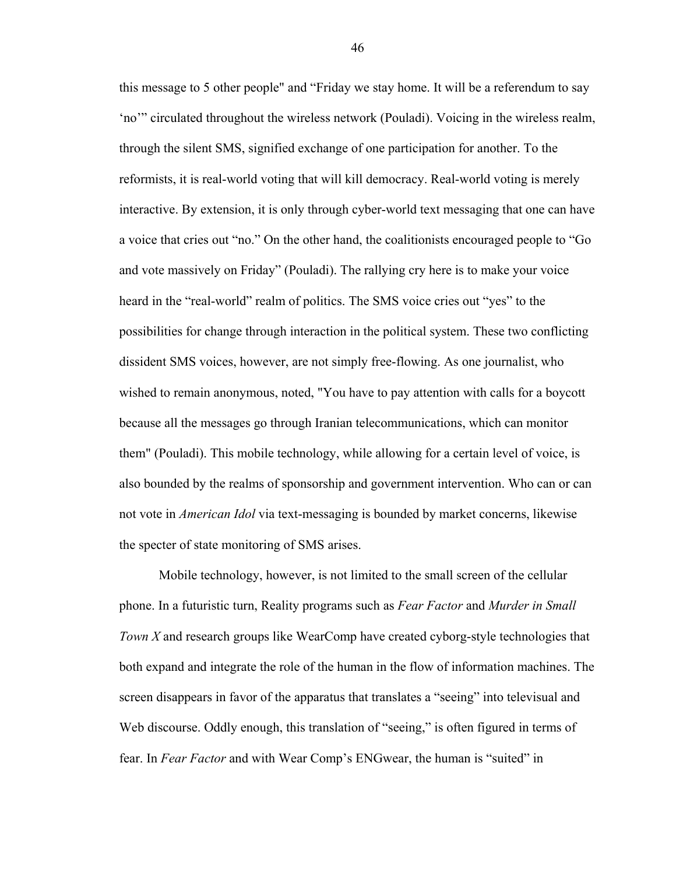this message to 5 other people" and "Friday we stay home. It will be a referendum to say 'no'" circulated throughout the wireless network (Pouladi). Voicing in the wireless realm, through the silent SMS, signified exchange of one participation for another. To the reformists, it is real-world voting that will kill democracy. Real-world voting is merely interactive. By extension, it is only through cyber-world text messaging that one can have a voice that cries out "no." On the other hand, the coalitionists encouraged people to "Go and vote massively on Friday" (Pouladi). The rallying cry here is to make your voice heard in the "real-world" realm of politics. The SMS voice cries out "yes" to the possibilities for change through interaction in the political system. These two conflicting dissident SMS voices, however, are not simply free-flowing. As one journalist, who wished to remain anonymous, noted, "You have to pay attention with calls for a boycott because all the messages go through Iranian telecommunications, which can monitor them" (Pouladi). This mobile technology, while allowing for a certain level of voice, is also bounded by the realms of sponsorship and government intervention. Who can or can not vote in *American Idol* via text-messaging is bounded by market concerns, likewise the specter of state monitoring of SMS arises.

Mobile technology, however, is not limited to the small screen of the cellular phone. In a futuristic turn, Reality programs such as *Fear Factor* and *Murder in Small Town X* and research groups like WearComp have created cyborg-style technologies that both expand and integrate the role of the human in the flow of information machines. The screen disappears in favor of the apparatus that translates a "seeing" into televisual and Web discourse. Oddly enough, this translation of "seeing," is often figured in terms of fear. In *Fear Factor* and with Wear Comp's ENGwear, the human is "suited" in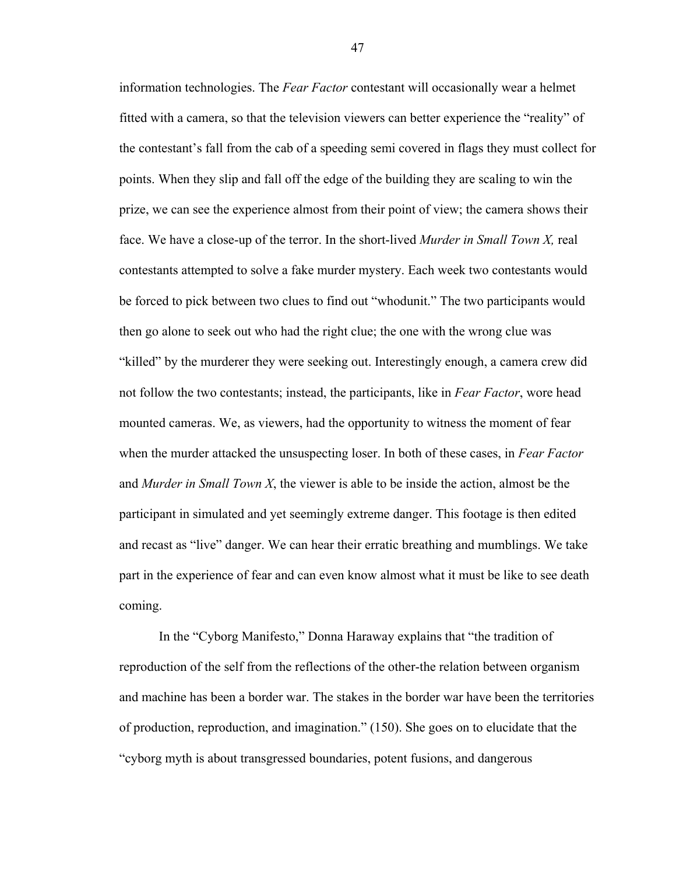information technologies. The *Fear Factor* contestant will occasionally wear a helmet fitted with a camera, so that the television viewers can better experience the "reality" of the contestant's fall from the cab of a speeding semi covered in flags they must collect for points. When they slip and fall off the edge of the building they are scaling to win the prize, we can see the experience almost from their point of view; the camera shows their face. We have a close-up of the terror. In the short-lived *Murder in Small Town X,* real contestants attempted to solve a fake murder mystery. Each week two contestants would be forced to pick between two clues to find out "whodunit." The two participants would then go alone to seek out who had the right clue; the one with the wrong clue was "killed" by the murderer they were seeking out. Interestingly enough, a camera crew did not follow the two contestants; instead, the participants, like in *Fear Factor*, wore head mounted cameras. We, as viewers, had the opportunity to witness the moment of fear when the murder attacked the unsuspecting loser. In both of these cases, in *Fear Factor* and *Murder in Small Town X*, the viewer is able to be inside the action, almost be the participant in simulated and yet seemingly extreme danger. This footage is then edited and recast as "live" danger. We can hear their erratic breathing and mumblings. We take part in the experience of fear and can even know almost what it must be like to see death coming.

In the "Cyborg Manifesto," Donna Haraway explains that "the tradition of reproduction of the self from the reflections of the other-the relation between organism and machine has been a border war. The stakes in the border war have been the territories of production, reproduction, and imagination." (150). She goes on to elucidate that the "cyborg myth is about transgressed boundaries, potent fusions, and dangerous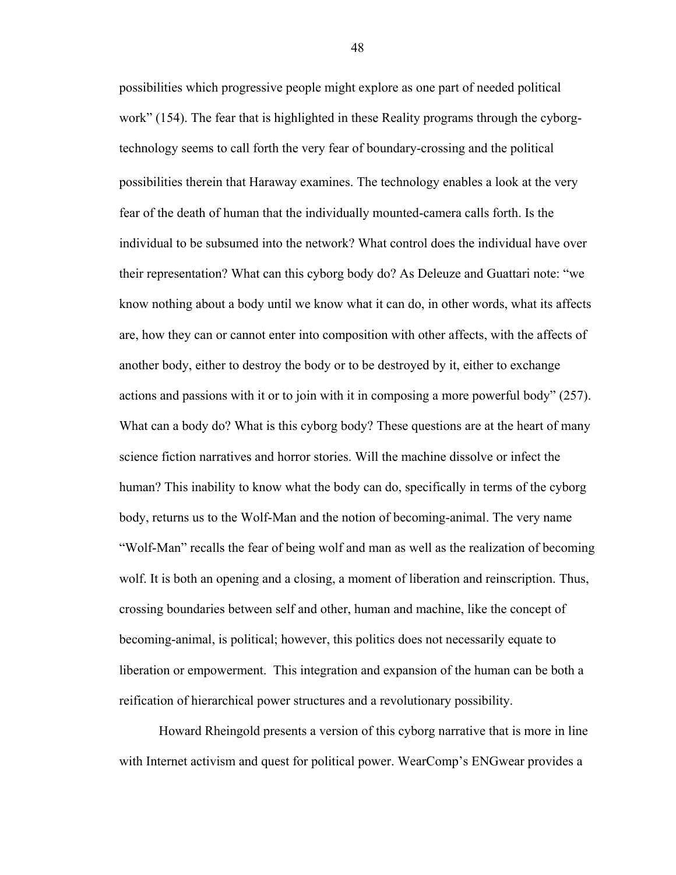possibilities which progressive people might explore as one part of needed political work" (154). The fear that is highlighted in these Reality programs through the cyborgtechnology seems to call forth the very fear of boundary-crossing and the political possibilities therein that Haraway examines. The technology enables a look at the very fear of the death of human that the individually mounted-camera calls forth. Is the individual to be subsumed into the network? What control does the individual have over their representation? What can this cyborg body do? As Deleuze and Guattari note: "we know nothing about a body until we know what it can do, in other words, what its affects are, how they can or cannot enter into composition with other affects, with the affects of another body, either to destroy the body or to be destroyed by it, either to exchange actions and passions with it or to join with it in composing a more powerful body" (257). What can a body do? What is this cyborg body? These questions are at the heart of many science fiction narratives and horror stories. Will the machine dissolve or infect the human? This inability to know what the body can do, specifically in terms of the cyborg body, returns us to the Wolf-Man and the notion of becoming-animal. The very name "Wolf-Man" recalls the fear of being wolf and man as well as the realization of becoming wolf. It is both an opening and a closing, a moment of liberation and reinscription. Thus, crossing boundaries between self and other, human and machine, like the concept of becoming-animal, is political; however, this politics does not necessarily equate to liberation or empowerment. This integration and expansion of the human can be both a reification of hierarchical power structures and a revolutionary possibility.

Howard Rheingold presents a version of this cyborg narrative that is more in line with Internet activism and quest for political power. WearComp's ENGwear provides a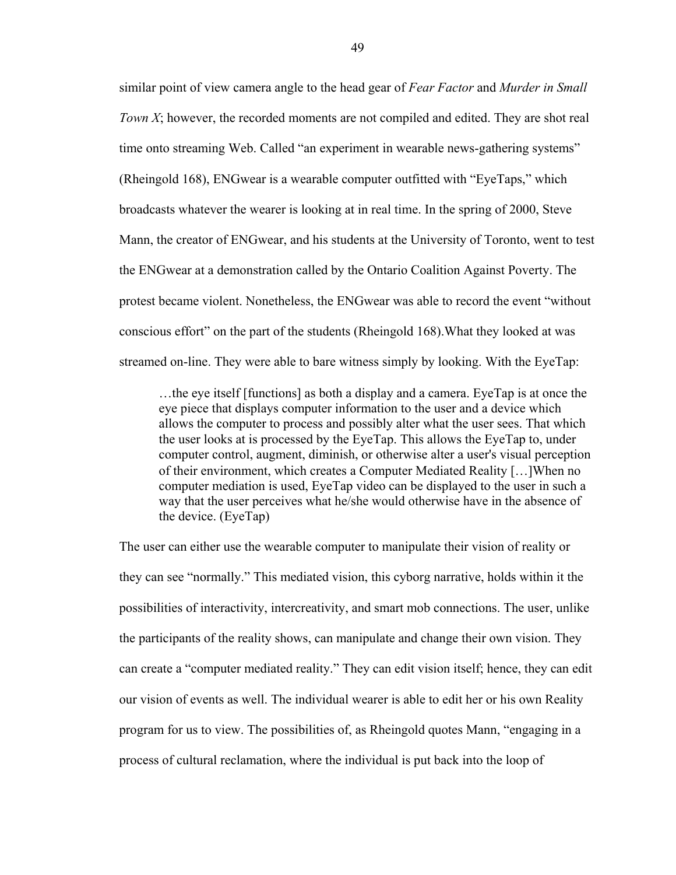similar point of view camera angle to the head gear of *Fear Factor* and *Murder in Small Town X*; however, the recorded moments are not compiled and edited. They are shot real time onto streaming Web. Called "an experiment in wearable news-gathering systems" (Rheingold 168), ENGwear is a wearable computer outfitted with "EyeTaps," which broadcasts whatever the wearer is looking at in real time. In the spring of 2000, Steve Mann, the creator of ENGwear, and his students at the University of Toronto, went to test the ENGwear at a demonstration called by the Ontario Coalition Against Poverty. The protest became violent. Nonetheless, the ENGwear was able to record the event "without conscious effort" on the part of the students (Rheingold 168).What they looked at was streamed on-line. They were able to bare witness simply by looking. With the EyeTap:

…the eye itself [functions] as both a display and a camera. EyeTap is at once the eye piece that displays computer information to the user and a device which allows the computer to process and possibly alter what the user sees. That which the user looks at is processed by the EyeTap. This allows the EyeTap to, under computer control, augment, diminish, or otherwise alter a user's visual perception of their environment, which creates a Computer Mediated Reality […]When no computer mediation is used, EyeTap video can be displayed to the user in such a way that the user perceives what he/she would otherwise have in the absence of the device. (EyeTap)

The user can either use the wearable computer to manipulate their vision of reality or they can see "normally." This mediated vision, this cyborg narrative, holds within it the possibilities of interactivity, intercreativity, and smart mob connections. The user, unlike the participants of the reality shows, can manipulate and change their own vision. They can create a "computer mediated reality." They can edit vision itself; hence, they can edit our vision of events as well. The individual wearer is able to edit her or his own Reality program for us to view. The possibilities of, as Rheingold quotes Mann, "engaging in a process of cultural reclamation, where the individual is put back into the loop of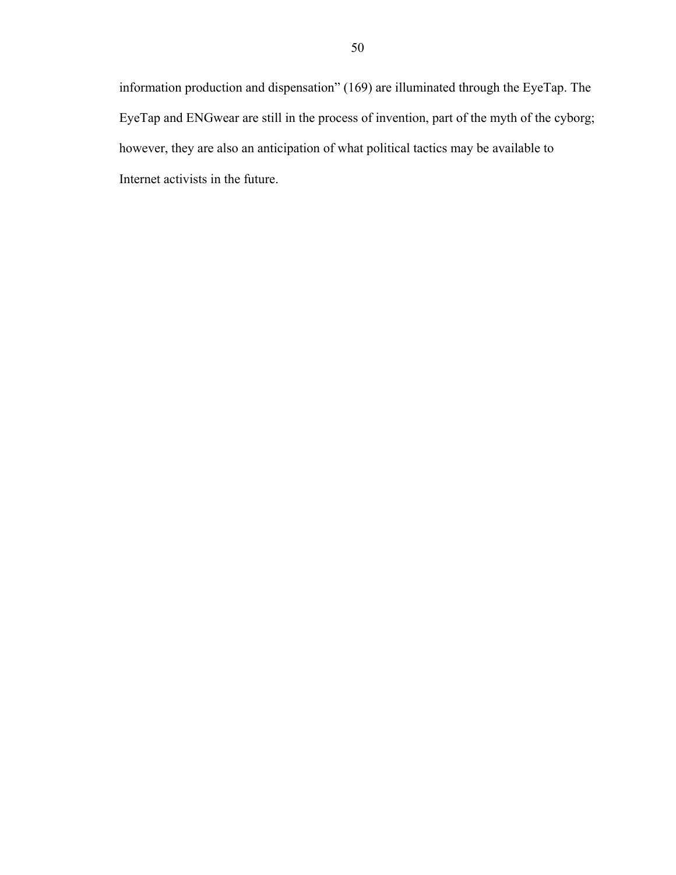information production and dispensation" (169) are illuminated through the EyeTap. The EyeTap and ENGwear are still in the process of invention, part of the myth of the cyborg; however, they are also an anticipation of what political tactics may be available to Internet activists in the future.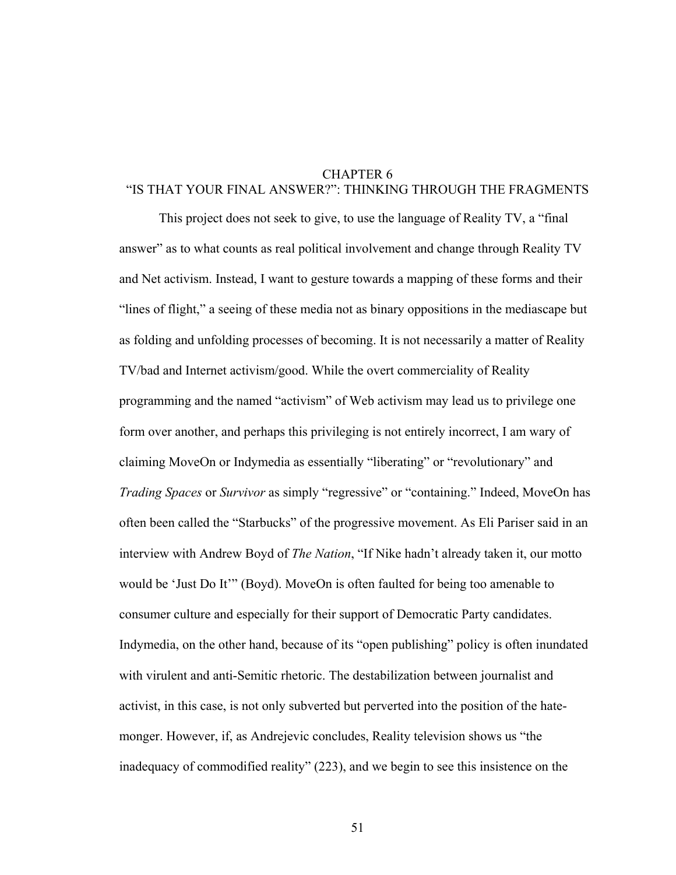#### CHAPTER 6

# <span id="page-56-0"></span>"IS THAT YOUR FINAL ANSWER?": THINKING THROUGH THE FRAGMENTS

This project does not seek to give, to use the language of Reality TV, a "final answer" as to what counts as real political involvement and change through Reality TV and Net activism. Instead, I want to gesture towards a mapping of these forms and their "lines of flight," a seeing of these media not as binary oppositions in the mediascape but as folding and unfolding processes of becoming. It is not necessarily a matter of Reality TV/bad and Internet activism/good. While the overt commerciality of Reality programming and the named "activism" of Web activism may lead us to privilege one form over another, and perhaps this privileging is not entirely incorrect, I am wary of claiming MoveOn or Indymedia as essentially "liberating" or "revolutionary" and *Trading Spaces* or *Survivor* as simply "regressive" or "containing." Indeed, MoveOn has often been called the "Starbucks" of the progressive movement. As Eli Pariser said in an interview with Andrew Boyd of *The Nation*, "If Nike hadn't already taken it, our motto would be 'Just Do It'" (Boyd). MoveOn is often faulted for being too amenable to consumer culture and especially for their support of Democratic Party candidates. Indymedia, on the other hand, because of its "open publishing" policy is often inundated with virulent and anti-Semitic rhetoric. The destabilization between journalist and activist, in this case, is not only subverted but perverted into the position of the hatemonger. However, if, as Andrejevic concludes, Reality television shows us "the inadequacy of commodified reality" (223), and we begin to see this insistence on the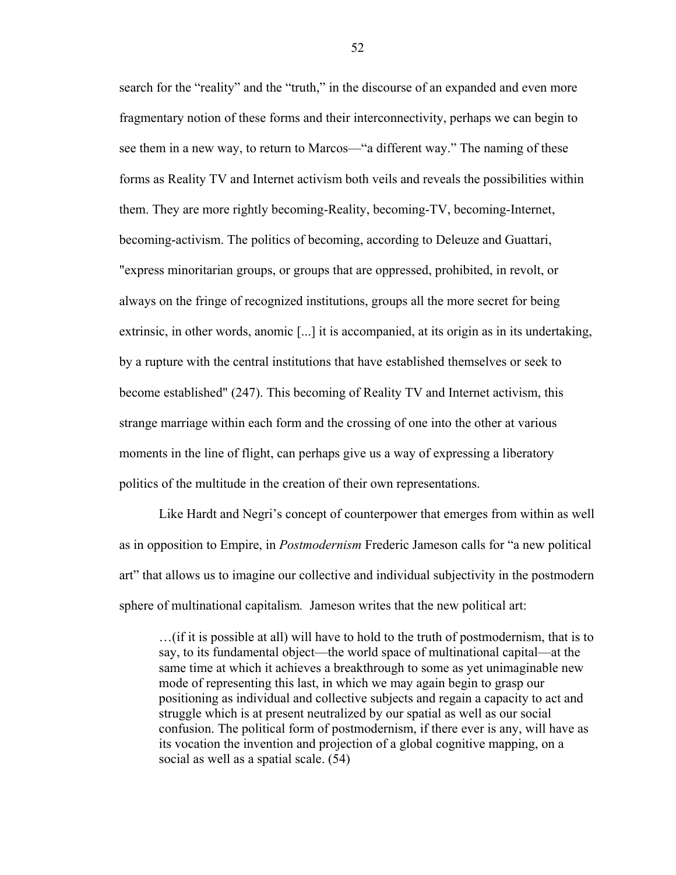search for the "reality" and the "truth," in the discourse of an expanded and even more fragmentary notion of these forms and their interconnectivity, perhaps we can begin to see them in a new way, to return to Marcos—"a different way." The naming of these forms as Reality TV and Internet activism both veils and reveals the possibilities within them. They are more rightly becoming-Reality, becoming-TV, becoming-Internet, becoming-activism. The politics of becoming, according to Deleuze and Guattari, "express minoritarian groups, or groups that are oppressed, prohibited, in revolt, or always on the fringe of recognized institutions, groups all the more secret for being extrinsic, in other words, anomic [...] it is accompanied, at its origin as in its undertaking, by a rupture with the central institutions that have established themselves or seek to become established" (247). This becoming of Reality TV and Internet activism, this strange marriage within each form and the crossing of one into the other at various moments in the line of flight, can perhaps give us a way of expressing a liberatory politics of the multitude in the creation of their own representations.

Like Hardt and Negri's concept of counterpower that emerges from within as well as in opposition to Empire, in *Postmodernism* Frederic Jameson calls for "a new political art" that allows us to imagine our collective and individual subjectivity in the postmodern sphere of multinational capitalism*.* Jameson writes that the new political art:

…(if it is possible at all) will have to hold to the truth of postmodernism, that is to say, to its fundamental object—the world space of multinational capital—at the same time at which it achieves a breakthrough to some as yet unimaginable new mode of representing this last, in which we may again begin to grasp our positioning as individual and collective subjects and regain a capacity to act and struggle which is at present neutralized by our spatial as well as our social confusion. The political form of postmodernism, if there ever is any, will have as its vocation the invention and projection of a global cognitive mapping, on a social as well as a spatial scale. (54)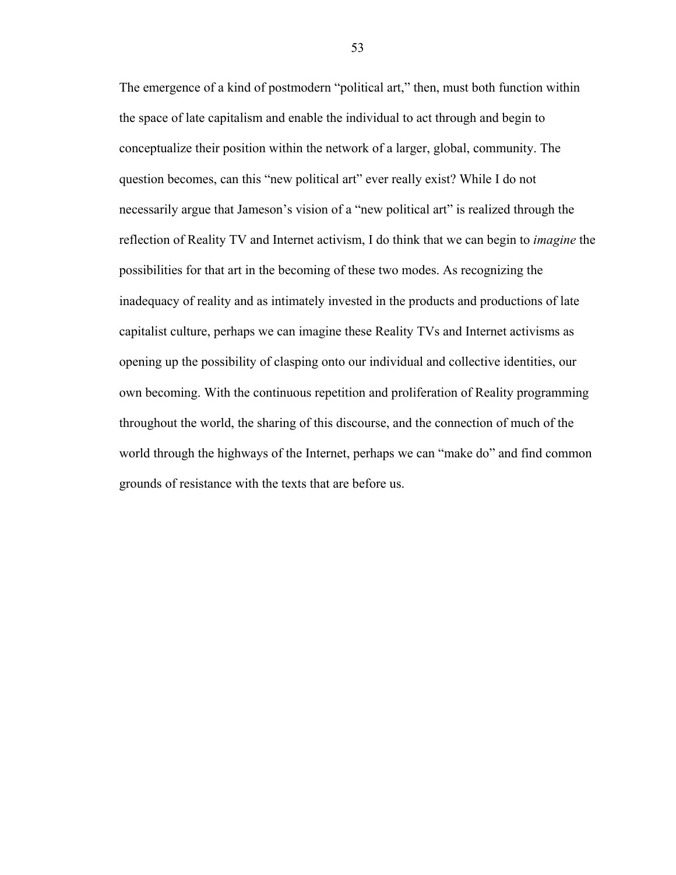The emergence of a kind of postmodern "political art," then, must both function within the space of late capitalism and enable the individual to act through and begin to conceptualize their position within the network of a larger, global, community. The question becomes, can this "new political art" ever really exist? While I do not necessarily argue that Jameson's vision of a "new political art" is realized through the reflection of Reality TV and Internet activism, I do think that we can begin to *imagine* the possibilities for that art in the becoming of these two modes. As recognizing the inadequacy of reality and as intimately invested in the products and productions of late capitalist culture, perhaps we can imagine these Reality TVs and Internet activisms as opening up the possibility of clasping onto our individual and collective identities, our own becoming. With the continuous repetition and proliferation of Reality programming throughout the world, the sharing of this discourse, and the connection of much of the world through the highways of the Internet, perhaps we can "make do" and find common grounds of resistance with the texts that are before us.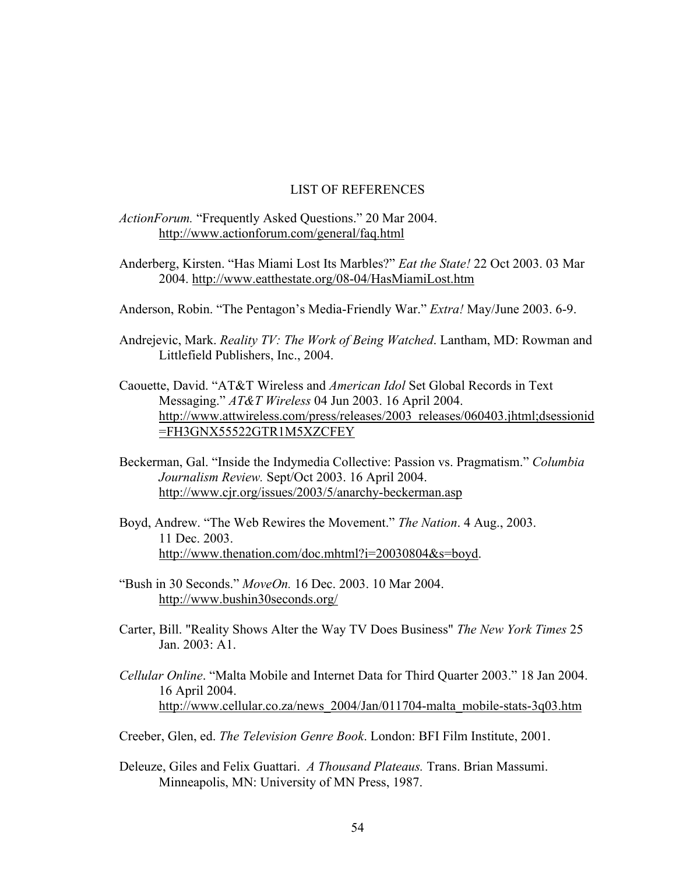#### LIST OF REFERENCES

<span id="page-59-0"></span>*ActionForum.* "Frequently Asked Questions." 20 Mar 2004. http://www.actionforum.com/general/faq.html

- Anderberg, Kirsten. "Has Miami Lost Its Marbles?" *Eat the State!* 22 Oct 2003. 03 Mar 2004. http://www.eatthestate.org/08-04/HasMiamiLost.htm
- Anderson, Robin. "The Pentagon's Media-Friendly War." *Extra!* May/June 2003. 6-9.
- Andrejevic, Mark. *Reality TV: The Work of Being Watched*. Lantham, MD: Rowman and Littlefield Publishers, Inc., 2004.
- Caouette, David. "AT&T Wireless and *American Idol* Set Global Records in Text Messaging." *AT&T Wireless* 04 Jun 2003. 16 April 2004. http://www.attwireless.com/press/releases/2003\_releases/060403.jhtml;dsessionid =FH3GNX55522GTR1M5XZCFEY
- Beckerman, Gal. "Inside the Indymedia Collective: Passion vs. Pragmatism." *Columbia Journalism Review.* Sept/Oct 2003. 16 April 2004. http://www.cjr.org/issues/2003/5/anarchy-beckerman.asp
- Boyd, Andrew. "The Web Rewires the Movement." *The Nation*. 4 Aug., 2003. 11 Dec. 2003. http://www.thenation.com/doc.mhtml?i=20030804&s=boyd.
- "Bush in 30 Seconds." *MoveOn.* 16 Dec. 2003. 10 Mar 2004. http://www.bushin30seconds.org/
- Carter, Bill. "Reality Shows Alter the Way TV Does Business" *The New York Times* 25 Jan. 2003: A1.
- *Cellular Online*. "Malta Mobile and Internet Data for Third Quarter 2003." 18 Jan 2004. 16 April 2004. http://www.cellular.co.za/news\_2004/Jan/011704-malta\_mobile-stats-3q03.htm

Creeber, Glen, ed. *The Television Genre Book*. London: BFI Film Institute, 2001.

Deleuze, Giles and Felix Guattari. *A Thousand Plateaus.* Trans. Brian Massumi. Minneapolis, MN: University of MN Press, 1987.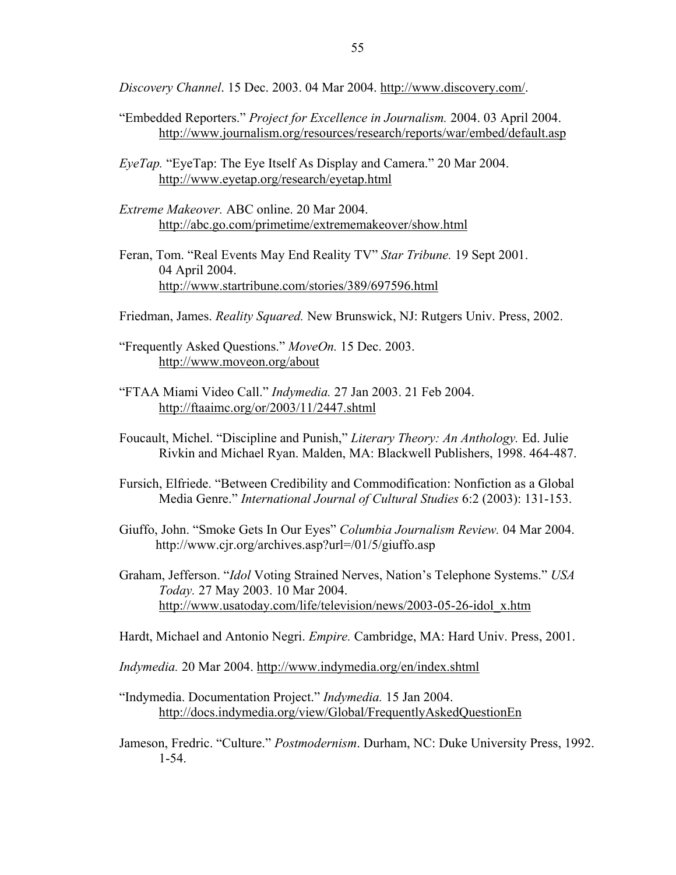*Discovery Channel*. 15 Dec. 2003. 04 Mar 2004. http://www.discovery.com/.

- "Embedded Reporters." *Project for Excellence in Journalism.* 2004. 03 April 2004. http://www.journalism.org/resources/research/reports/war/embed/default.asp
- *EyeTap.* "EyeTap: The Eye Itself As Display and Camera." 20 Mar 2004. http://www.eyetap.org/research/eyetap.html
- *Extreme Makeover.* ABC online. 20 Mar 2004. http://abc.go.com/primetime/extrememakeover/show.html
- Feran, Tom. "Real Events May End Reality TV" *Star Tribune.* 19 Sept 2001. 04 April 2004. http://www.startribune.com/stories/389/697596.html
- Friedman, James. *Reality Squared.* New Brunswick, NJ: Rutgers Univ. Press, 2002.
- "Frequently Asked Questions." *MoveOn.* 15 Dec. 2003. http://www.moveon.org/about
- "FTAA Miami Video Call." *Indymedia.* 27 Jan 2003. 21 Feb 2004. http://ftaaimc.org/or/2003/11/2447.shtml
- Foucault, Michel. "Discipline and Punish," *Literary Theory: An Anthology.* Ed. Julie Rivkin and Michael Ryan. Malden, MA: Blackwell Publishers, 1998. 464-487.
- Fursich, Elfriede. "Between Credibility and Commodification: Nonfiction as a Global Media Genre." *International Journal of Cultural Studies* 6:2 (2003): 131-153.
- Giuffo, John. "Smoke Gets In Our Eyes" *Columbia Journalism Review.* 04 Mar 2004. http://www.cjr.org/archives.asp?url=/01/5/giuffo.asp
- Graham, Jefferson. "*Idol* Voting Strained Nerves, Nation's Telephone Systems." *USA Today.* 27 May 2003. 10 Mar 2004. http://www.usatoday.com/life/television/news/2003-05-26-idol\_x.htm

Hardt, Michael and Antonio Negri. *Empire.* Cambridge, MA: Hard Univ. Press, 2001.

- *Indymedia.* 20 Mar 2004. http://www.indymedia.org/en/index.shtml
- "Indymedia. Documentation Project." *Indymedia.* 15 Jan 2004. http://docs.indymedia.org/view/Global/FrequentlyAskedQuestionEn
- Jameson, Fredric. "Culture." *Postmodernism*. Durham, NC: Duke University Press, 1992. 1-54.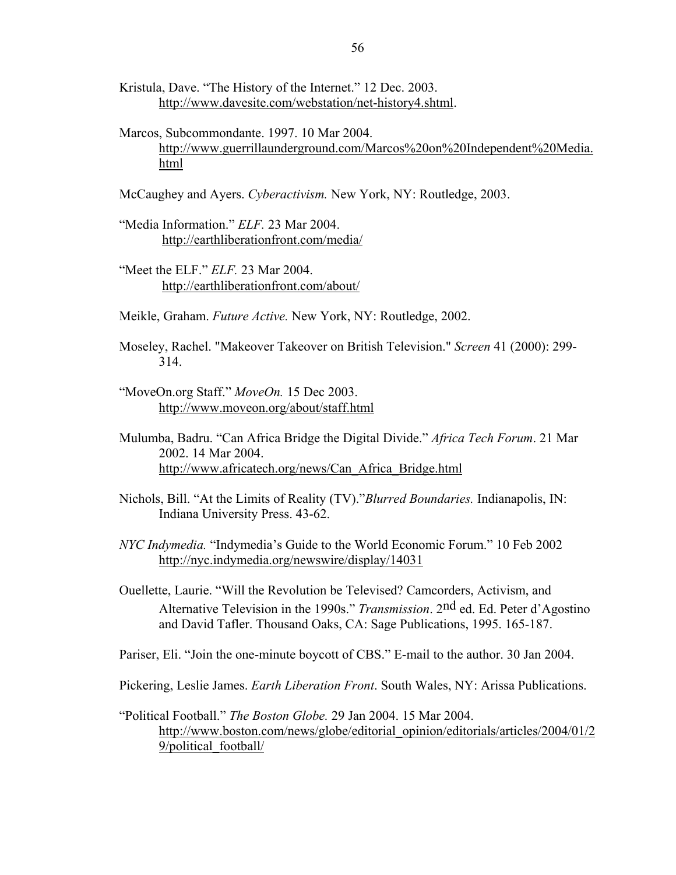- Kristula, Dave. "The History of the Internet." 12 Dec. 2003. http://www.davesite.com/webstation/net-history4.shtml.
- Marcos, Subcommondante. 1997. 10 Mar 2004. http://www.guerrillaunderground.com/Marcos%20on%20Independent%20Media. html

McCaughey and Ayers. *Cyberactivism.* New York, NY: Routledge, 2003.

- "Media Information." *ELF.* 23 Mar 2004. http://earthliberationfront.com/media/
- "Meet the ELF." *ELF.* 23 Mar 2004. http://earthliberationfront.com/about/
- Meikle, Graham. *Future Active.* New York, NY: Routledge, 2002.
- Moseley, Rachel. "Makeover Takeover on British Television." *Screen* 41 (2000): 299- 314.
- "MoveOn.org Staff." *MoveOn.* 15 Dec 2003. http://www.moveon.org/about/staff.html
- Mulumba, Badru. "Can Africa Bridge the Digital Divide." *Africa Tech Forum*. 21 Mar 2002. 14 Mar 2004. http://www.africatech.org/news/Can\_Africa\_Bridge.html
- Nichols, Bill. "At the Limits of Reality (TV)."*Blurred Boundaries.* Indianapolis, IN: Indiana University Press. 43-62.
- *NYC Indymedia.* "Indymedia's Guide to the World Economic Forum." 10 Feb 2002 http://nyc.indymedia.org/newswire/display/14031
- Ouellette, Laurie. "Will the Revolution be Televised? Camcorders, Activism, and Alternative Television in the 1990s." *Transmission*. 2nd ed. Ed. Peter d'Agostino and David Tafler. Thousand Oaks, CA: Sage Publications, 1995. 165-187.

Pariser, Eli. "Join the one-minute boycott of CBS." E-mail to the author. 30 Jan 2004.

Pickering, Leslie James. *Earth Liberation Front*. South Wales, NY: Arissa Publications.

"Political Football." *The Boston Globe.* 29 Jan 2004. 15 Mar 2004. http://www.boston.com/news/globe/editorial\_opinion/editorials/articles/2004/01/2 9/political\_football/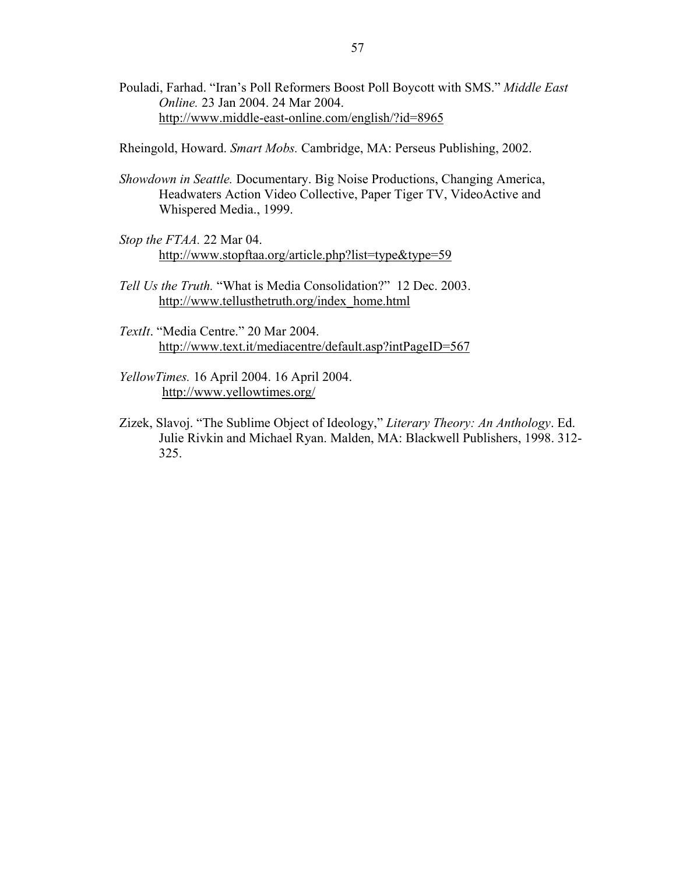Pouladi, Farhad. "Iran's Poll Reformers Boost Poll Boycott with SMS." *Middle East Online.* 23 Jan 2004. 24 Mar 2004. http://www.middle-east-online.com/english/?id=8965

Rheingold, Howard. *Smart Mobs.* Cambridge, MA: Perseus Publishing, 2002.

- *Showdown in Seattle.* Documentary. Big Noise Productions, Changing America, Headwaters Action Video Collective, Paper Tiger TV, VideoActive and Whispered Media., 1999.
- *Stop the FTAA.* 22 Mar 04. http://www.stopftaa.org/article.php?list=type&type=59
- *Tell Us the Truth.* "What is Media Consolidation?" 12 Dec. 2003. http://www.tellusthetruth.org/index\_home.html
- *TextIt*. "Media Centre." 20 Mar 2004. http://www.text.it/mediacentre/default.asp?intPageID=567
- *YellowTimes.* 16 April 2004. 16 April 2004. http://www.yellowtimes.org/
- Zizek, Slavoj. "The Sublime Object of Ideology," *Literary Theory: An Anthology*. Ed. Julie Rivkin and Michael Ryan. Malden, MA: Blackwell Publishers, 1998. 312- 325.